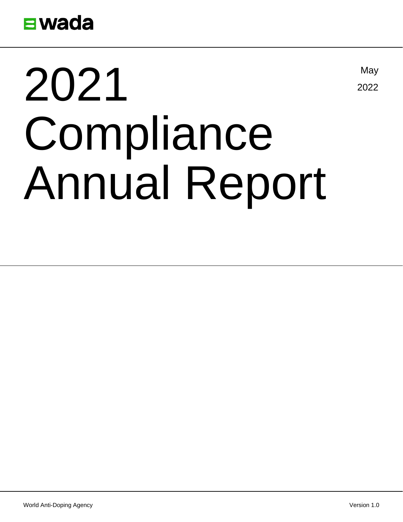

# 2021 Compliance Annual Report

May

2022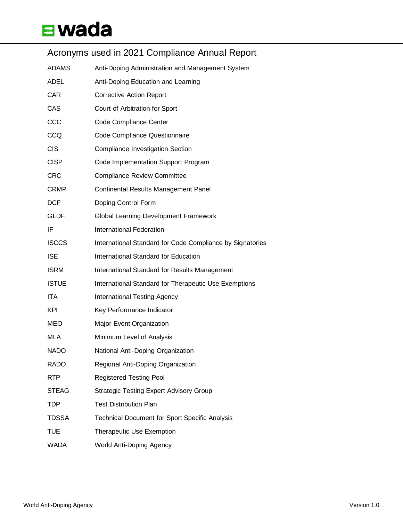#### Acronyms used in 2021 Compliance Annual Report

| <b>ADAMS</b> | Anti-Doping Administration and Management System          |
|--------------|-----------------------------------------------------------|
| <b>ADEL</b>  | Anti-Doping Education and Learning                        |
| <b>CAR</b>   | <b>Corrective Action Report</b>                           |
| CAS          | Court of Arbitration for Sport                            |
| CCC          | Code Compliance Center                                    |
| CCQ          | Code Compliance Questionnaire                             |
| <b>CIS</b>   | <b>Compliance Investigation Section</b>                   |
| <b>CISP</b>  | Code Implementation Support Program                       |
| <b>CRC</b>   | <b>Compliance Review Committee</b>                        |
| <b>CRMP</b>  | <b>Continental Results Management Panel</b>               |
| <b>DCF</b>   | Doping Control Form                                       |
| <b>GLDF</b>  | Global Learning Development Framework                     |
| IF           | <b>International Federation</b>                           |
| <b>ISCCS</b> | International Standard for Code Compliance by Signatories |
| <b>ISE</b>   | International Standard for Education                      |
| <b>ISRM</b>  | International Standard for Results Management             |
| <b>ISTUE</b> | International Standard for Therapeutic Use Exemptions     |
| ITA          | <b>International Testing Agency</b>                       |
| KPI          | Key Performance Indicator                                 |
| <b>MEO</b>   | Major Event Organization                                  |
| MLA          | Minimum Level of Analysis                                 |
| <b>NADO</b>  | National Anti-Doping Organization                         |
| <b>RADO</b>  | Regional Anti-Doping Organization                         |
| <b>RTP</b>   | <b>Registered Testing Pool</b>                            |
| <b>STEAG</b> | <b>Strategic Testing Expert Advisory Group</b>            |
| TDP          | <b>Test Distribution Plan</b>                             |
| <b>TDSSA</b> | <b>Technical Document for Sport Specific Analysis</b>     |
| <b>TUE</b>   | <b>Therapeutic Use Exemption</b>                          |
| <b>WADA</b>  | World Anti-Doping Agency                                  |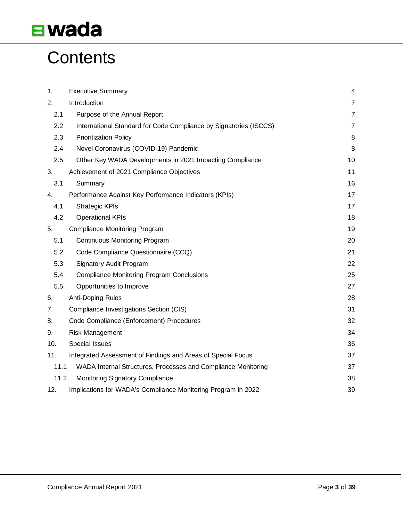### **Contents**

| 1.   | <b>Executive Summary</b>                                          | $\overline{4}$ |
|------|-------------------------------------------------------------------|----------------|
| 2.   | Introduction                                                      | $\overline{7}$ |
|      |                                                                   |                |
| 2.1  | Purpose of the Annual Report                                      | $\overline{7}$ |
| 2.2  | International Standard for Code Compliance by Signatories (ISCCS) | $\overline{7}$ |
| 2.3  | <b>Prioritization Policy</b>                                      | 8              |
| 2.4  | Novel Coronavirus (COVID-19) Pandemic                             | 8              |
| 2.5  | Other Key WADA Developments in 2021 Impacting Compliance          | 10             |
| 3.   | Achievement of 2021 Compliance Objectives                         | 11             |
| 3.1  | Summary                                                           | 16             |
| 4.   | Performance Against Key Performance Indicators (KPIs)             | 17             |
| 4.1  | <b>Strategic KPIs</b>                                             | 17             |
| 4.2  | <b>Operational KPIs</b>                                           | 18             |
| 5.   | <b>Compliance Monitoring Program</b>                              | 19             |
| 5.1  | <b>Continuous Monitoring Program</b>                              | 20             |
| 5.2  | Code Compliance Questionnaire (CCQ)                               | 21             |
| 5.3  | Signatory Audit Program                                           | 22             |
| 5.4  | <b>Compliance Monitoring Program Conclusions</b>                  | 25             |
| 5.5  | Opportunities to Improve                                          | 27             |
| 6.   | Anti-Doping Rules                                                 | 28             |
| 7.   | Compliance Investigations Section (CIS)                           | 31             |
| 8.   | Code Compliance (Enforcement) Procedures                          | 32             |
| 9.   | <b>Risk Management</b>                                            | 34             |
| 10.  | Special Issues                                                    | 36             |
| 11.  | Integrated Assessment of Findings and Areas of Special Focus      | 37             |
| 11.1 | WADA Internal Structures, Processes and Compliance Monitoring     | 37             |
| 11.2 | Monitoring Signatory Compliance                                   | 38             |
| 12.  | Implications for WADA's Compliance Monitoring Program in 2022     | 39             |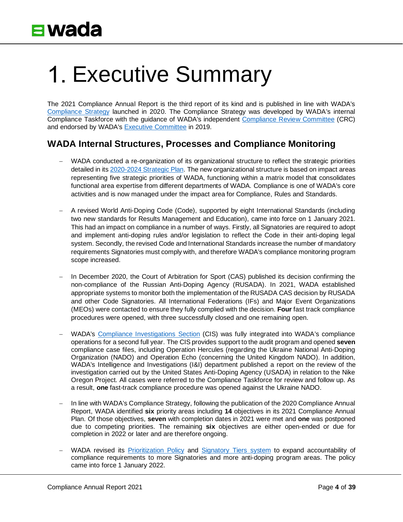# <span id="page-3-0"></span>1. Executive Summary

The 2021 Compliance Annual Report is the third report of its kind and is published in line with WADA's [Compliance Strategy](https://www.wada-ama.org/en/resources/code-compliance/compliance-strategy) launched in 2020. The Compliance Strategy was developed by WADA's internal Compliance Taskforce with the guidance of WADA's independent [Compliance Review Committee](https://www.wada-ama.org/en/who-we-are/governance/compliance-review-committee) (CRC) and endorsed by WADA's [Executive Committee](https://www.wada-ama.org/en/who-we-are/governance/executive-committee) in 2019.

#### **WADA Internal Structures, Processes and Compliance Monitoring**

- WADA conducted a re-organization of its organizational structure to reflect the strategic priorities detailed in it[s 2020-2024 Strategic Plan.](https://www.wada-ama.org/en/resources/world-anti-doping-program/strategic-plan) The new organizational structure is based on impact areas representing five strategic priorities of WADA, functioning within a matrix model that consolidates functional area expertise from different departments of WADA. Compliance is one of WADA's core activities and is now managed under the impact area for Compliance, Rules and Standards.
- − A revised World Anti-Doping Code (Code), supported by eight International Standards (including two new standards for Results Management and Education), came into force on 1 January 2021. This had an impact on compliance in a number of ways. Firstly, all Signatories are required to adopt and implement anti-doping rules and/or legislation to reflect the Code in their anti-doping legal system. Secondly, the revised Code and International Standards increase the number of mandatory requirements Signatories must comply with, and therefore WADA's compliance monitoring program scope increased.
- In December 2020, the Court of Arbitration for Sport (CAS) published its decision confirming the non-compliance of the Russian Anti-Doping Agency (RUSADA). In 2021, WADA established appropriate systems to monitor both the implementation of the RUSADA CAS decision by RUSADA and other Code Signatories. All International Federations (IFs) and Major Event Organizations (MEOs) were contacted to ensure they fully complied with the decision. **Four** fast track compliance procedures were opened, with three successfully closed and one remaining open.
- − WADA's [Compliance Investigations](https://www.wada-ama.org/en/media/news/2020-09/wada-to-boost-investigations-capabilities-with-new-compliance-team) Section (CIS) was fully integrated into WADA's compliance operations for a second full year. The CIS provides support to the audit program and opened **seven** compliance case files, including Operation Hercules (regarding the Ukraine National Anti-Doping Organization (NADO) and Operation Echo (concerning the United Kingdom NADO). In addition, WADA's Intelligence and Investigations (I&I) department published a report on the review of the investigation carried out by the United States Anti-Doping Agency (USADA) in relation to the Nike Oregon Project. All cases were referred to the Compliance Taskforce for review and follow up. As a result, **one** fast-track compliance procedure was opened against the Ukraine NADO.
- − In line with WADA's Compliance Strategy, following the publication of the 2020 Compliance Annual Report, WADA identified **six** priority areas including **14** objectives in its 2021 Compliance Annual Plan. Of those objectives, **seven** with completion dates in 2021 were met and **one** was postponed due to competing priorities. The remaining **six** objectives are either open-ended or due for completion in 2022 or later and are therefore ongoing.
- WADA revised its [Prioritization Policy](https://www.wada-ama.org/en/resources/isccs-prioritization-policy-0) and [Signatory Tiers system](https://wada-ama.org/sites/default/files/2022-01/Rebranded%20isccs_prioritization_policy_2022_Tiers_1.pdf) to expand accountability of compliance requirements to more Signatories and more anti-doping program areas. The policy came into force 1 January 2022.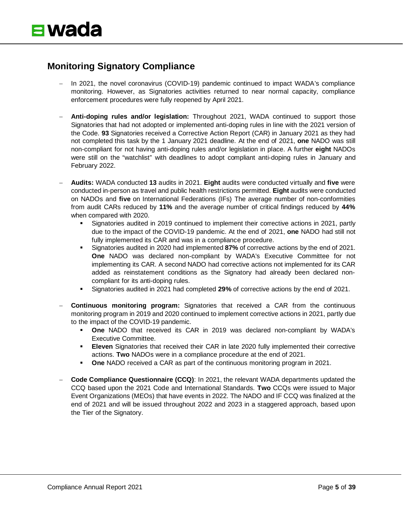#### **Monitoring Signatory Compliance**

- − In 2021, the novel coronavirus (COVID-19) pandemic continued to impact WADA's compliance monitoring. However, as Signatories activities returned to near normal capacity, compliance enforcement procedures were fully reopened by April 2021.
- − **Anti-doping rules and/or legislation:** Throughout 2021, WADA continued to support those Signatories that had not adopted or implemented anti-doping rules in line with the 2021 version of the Code. **93** Signatories received a Corrective Action Report (CAR) in January 2021 as they had not completed this task by the 1 January 2021 deadline. At the end of 2021, **one** NADO was still non-compliant for not having anti-doping rules and/or legislation in place. A further **eight** NADOs were still on the "watchlist" with deadlines to adopt compliant anti-doping rules in January and February 2022.
- − **Audits:** WADA conducted **13** audits in 2021. **Eight** audits were conducted virtually and **five** were conducted in-person as travel and public health restrictions permitted. **Eight** audits were conducted on NADOs and **five** on International Federations (IFs) The average number of non-conformities from audit CARs reduced by **11%** and the average number of critical findings reduced by **44%** when compared with 2020.
	- Signatories audited in 2019 continued to implement their corrective actions in 2021, partly due to the impact of the COVID-19 pandemic. At the end of 2021, **one** NADO had still not fully implemented its CAR and was in a compliance procedure.
	- Signatories audited in 2020 had implemented **87%** of corrective actions by the end of 2021. **One** NADO was declared non-compliant by WADA's Executive Committee for not implementing its CAR. A second NADO had corrective actions not implemented for its CAR added as reinstatement conditions as the Signatory had already been declared noncompliant for its anti-doping rules.
	- Signatories audited in 2021 had completed **29%** of corrective actions by the end of 2021.
- − **Continuous monitoring program:** Signatories that received a CAR from the continuous monitoring program in 2019 and 2020 continued to implement corrective actions in 2021, partly due to the impact of the COVID-19 pandemic.
	- **One** NADO that received its CAR in 2019 was declared non-compliant by WADA's Executive Committee.
	- **Eleven** Signatories that received their CAR in late 2020 fully implemented their corrective actions. **Two** NADOs were in a compliance procedure at the end of 2021.
	- **One** NADO received a CAR as part of the continuous monitoring program in 2021.
- − **Code Compliance Questionnaire (CCQ)**: In 2021, the relevant WADA departments updated the CCQ based upon the 2021 Code and International Standards. **Two** CCQs were issued to Major Event Organizations (MEOs) that have events in 2022. The NADO and IF CCQ was finalized at the end of 2021 and will be issued throughout 2022 and 2023 in a staggered approach, based upon the Tier of the Signatory.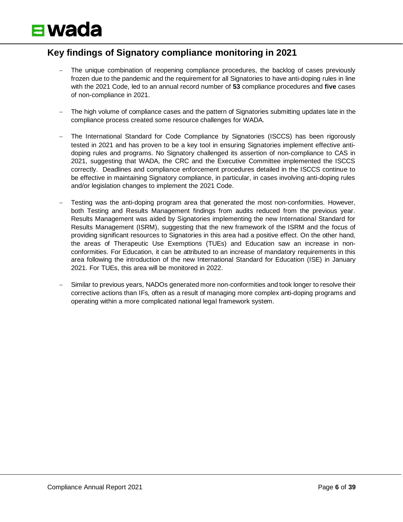#### **Key findings of Signatory compliance monitoring in 2021**

- The unique combination of reopening compliance procedures, the backlog of cases previously frozen due to the pandemic and the requirement for all Signatories to have anti-doping rules in line with the 2021 Code, led to an annual record number of **53** compliance procedures and **five** cases of non-compliance in 2021.
- The high volume of compliance cases and the pattern of Signatories submitting updates late in the compliance process created some resource challenges for WADA.
- − The International Standard for Code Compliance by Signatories (ISCCS) has been rigorously tested in 2021 and has proven to be a key tool in ensuring Signatories implement effective antidoping rules and programs. No Signatory challenged its assertion of non-compliance to CAS in 2021, suggesting that WADA, the CRC and the Executive Committee implemented the ISCCS correctly. Deadlines and compliance enforcement procedures detailed in the ISCCS continue to be effective in maintaining Signatory compliance, in particular, in cases involving anti-doping rules and/or legislation changes to implement the 2021 Code.
- − Testing was the anti-doping program area that generated the most non-conformities. However, both Testing and Results Management findings from audits reduced from the previous year. Results Management was aided by Signatories implementing the new International Standard for Results Management (ISRM), suggesting that the new framework of the ISRM and the focus of providing significant resources to Signatories in this area had a positive effect. On the other hand, the areas of Therapeutic Use Exemptions (TUEs) and Education saw an increase in nonconformities. For Education, it can be attributed to an increase of mandatory requirements in this area following the introduction of the new International Standard for Education (ISE) in January 2021. For TUEs, this area will be monitored in 2022.
- Similar to previous years, NADOs generated more non-conformities and took longer to resolve their corrective actions than IFs, often as a result of managing more complex anti-doping programs and operating within a more complicated national legal framework system.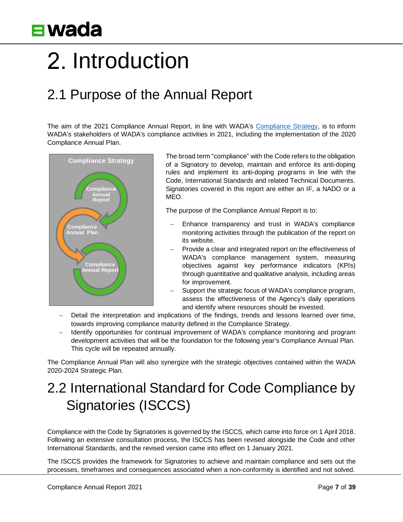# <span id="page-6-0"></span>2. Introduction

### <span id="page-6-1"></span>2.1 Purpose of the Annual Report

The aim of the 2021 Compliance Annual Report, in line with WADA's [Compliance Strategy,](https://www.wada-ama.org/en/resources/compliance-strategy) is to inform WADA's stakeholders of WADA's compliance activities in 2021, including the implementation of the 2020 Compliance Annual Plan.



The broad term "compliance" with the Code refers to the obligation of a Signatory to develop, maintain and enforce its anti-doping rules and implement its anti-doping programs in line with the Code, International Standards and related Technical Documents. Signatories covered in this report are either an IF, a NADO or a MEO.

The purpose of the Compliance Annual Report is to:

- Enhance transparency and trust in WADA's compliance monitoring activities through the publication of the report on its website.
- Provide a clear and integrated report on the effectiveness of WADA's compliance management system, measuring objectives against key performance indicators (KPIs) through quantitative and qualitative analysis, including areas for improvement.
- Support the strategic focus of WADA's compliance program, assess the effectiveness of the Agency's daily operations and identify where resources should be invested.
- Detail the interpretation and implications of the findings, trends and lessons learned over time, towards improving compliance maturity defined in the Compliance Strategy.
- Hentify opportunities for continual improvement of WADA's compliance monitoring and program development activities that will be the foundation for the following year's Compliance Annual Plan. This cycle will be repeated annually.

The Compliance Annual Plan will also synergize with the strategic objectives contained within the WADA 2020-2024 Strategic Plan.

### <span id="page-6-2"></span>2.2 International Standard for Code Compliance by Signatories (ISCCS)

Compliance with the Code by Signatories is governed by the ISCCS, which came into force on 1 April 2018. Following an extensive consultation process, the ISCCS has been revised alongside the Code and other International Standards, and the revised version came into effect on 1 January 2021.

The ISCCS provides the framework for Signatories to achieve and maintain compliance and sets out the processes, timeframes and consequences associated when a non-conformity is identified and not solved.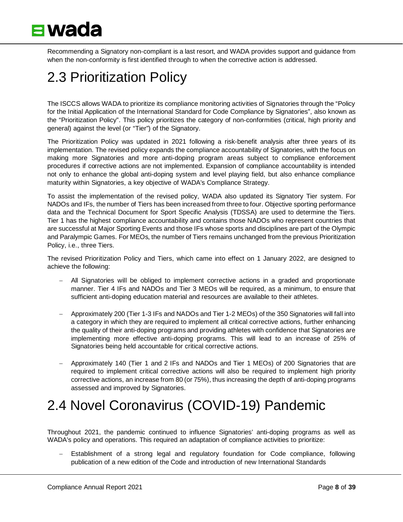

Recommending a Signatory non-compliant is a last resort, and WADA provides support and guidance from when the non-conformity is first identified through to when the corrective action is addressed.

### <span id="page-7-0"></span>2.3 Prioritization Policy

The ISCCS allows WADA to prioritize its compliance monitoring activities of Signatories through the "Policy for the Initial Application of the International Standard for Code Compliance by Signatories", also known as the "Prioritization Policy". This policy prioritizes the category of non-conformities (critical, high priority and general) against the level (or "Tier") of the Signatory.

The Prioritization Policy was updated in 2021 following a risk-benefit analysis after three years of its implementation. The revised policy expands the compliance accountability of Signatories, with the focus on making more Signatories and more anti-doping program areas subject to compliance enforcement procedures if corrective actions are not implemented. Expansion of compliance accountability is intended not only to enhance the global anti-doping system and level playing field, but also enhance compliance maturity within Signatories, a key objective of WADA's Compliance Strategy.

To assist the implementation of the revised policy, WADA also updated its Signatory Tier system. For NADOs and IFs, the number of Tiers has been increased from three to four. Objective sporting performance data and the Technical Document for Sport Specific Analysis (TDSSA) are used to determine the Tiers. Tier 1 has the highest compliance accountability and contains those NADOs who represent countries that are successful at Major Sporting Events and those IFs whose sports and disciplines are part of the Olympic and Paralympic Games. For MEOs, the number of Tiers remains unchanged from the previous Prioritization Policy, i.e., three Tiers.

The revised Prioritization Policy and Tiers, which came into effect on 1 January 2022, are designed to achieve the following:

- − All Signatories will be obliged to implement corrective actions in a graded and proportionate manner. Tier 4 IFs and NADOs and Tier 3 MEOs will be required, as a minimum, to ensure that sufficient anti-doping education material and resources are available to their athletes.
- − Approximately 200 (Tier 1-3 IFs and NADOs and Tier 1-2 MEOs) of the 350 Signatories will fall into a category in which they are required to implement all critical corrective actions, further enhancing the quality of their anti-doping programs and providing athletes with confidence that Signatories are implementing more effective anti-doping programs. This will lead to an increase of 25% of Signatories being held accountable for critical corrective actions.
- − Approximately 140 (Tier 1 and 2 IFs and NADOs and Tier 1 MEOs) of 200 Signatories that are required to implement critical corrective actions will also be required to implement high priority corrective actions, an increase from 80 (or 75%), thus increasing the depth of anti-doping programs assessed and improved by Signatories.

### <span id="page-7-1"></span>2.4 Novel Coronavirus (COVID-19) Pandemic

Throughout 2021, the pandemic continued to influence Signatories' anti-doping programs as well as WADA's policy and operations. This required an adaptation of compliance activities to prioritize:

− Establishment of a strong legal and regulatory foundation for Code compliance, following publication of a new edition of the Code and introduction of new International Standards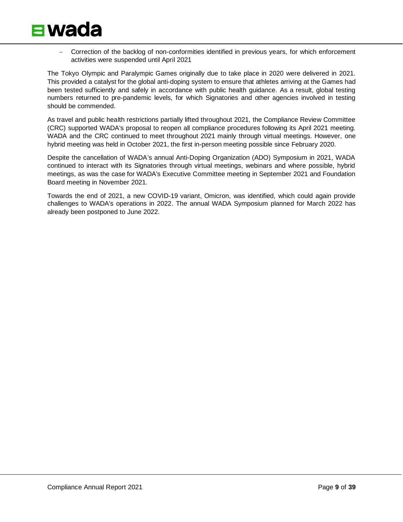

− Correction of the backlog of non-conformities identified in previous years, for which enforcement activities were suspended until April 2021

The Tokyo Olympic and Paralympic Games originally due to take place in 2020 were delivered in 2021. This provided a catalyst for the global anti-doping system to ensure that athletes arriving at the Games had been tested sufficiently and safely in accordance with public health guidance. As a result, global testing numbers returned to pre-pandemic levels, for which Signatories and other agencies involved in testing should be commended.

As travel and public health restrictions partially lifted throughout 2021, the Compliance Review Committee (CRC) supported WADA's proposal to reopen all compliance procedures following its April 2021 meeting. WADA and the CRC continued to meet throughout 2021 mainly through virtual meetings. However, one hybrid meeting was held in October 2021, the first in-person meeting possible since February 2020.

Despite the cancellation of WADA's annual Anti-Doping Organization (ADO) Symposium in 2021, WADA continued to interact with its Signatories through virtual meetings, webinars and where possible, hybrid meetings, as was the case for WADA's Executive Committee meeting in September 2021 and Foundation Board meeting in November 2021.

Towards the end of 2021, a new COVID-19 variant, Omicron, was identified, which could again provide challenges to WADA's operations in 2022. The annual WADA Symposium planned for March 2022 has already been postponed to June 2022.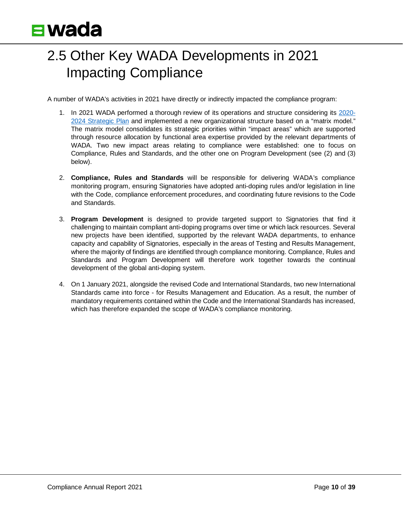### <span id="page-9-0"></span>2.5 Other Key WADA Developments in 2021 Impacting Compliance

A number of WADA's activities in 2021 have directly or indirectly impacted the compliance program:

- 1. In 2021 WADA performed a thorough review of its operations and structure considering its [2020-](https://www.wada-ama.org/en/resources/strategic-plan) [2024 Strategic Plan](https://www.wada-ama.org/en/resources/strategic-plan) and implemented a new organizational structure based on a "matrix model." The matrix model consolidates its strategic priorities within "impact areas" which are supported through resource allocation by functional area expertise provided by the relevant departments of WADA. Two new impact areas relating to compliance were established: one to focus on Compliance, Rules and Standards, and the other one on Program Development (see (2) and (3) below).
- 2. **Compliance, Rules and Standards** will be responsible for delivering WADA's compliance monitoring program, ensuring Signatories have adopted anti-doping rules and/or legislation in line with the Code, compliance enforcement procedures, and coordinating future revisions to the Code and Standards.
- 3. **Program Development** is designed to provide targeted support to Signatories that find it challenging to maintain compliant anti-doping programs over time or which lack resources. Several new projects have been identified, supported by the relevant WADA departments, to enhance capacity and capability of Signatories, especially in the areas of Testing and Results Management, where the majority of findings are identified through compliance monitoring. Compliance, Rules and Standards and Program Development will therefore work together towards the continual development of the global anti-doping system.
- 4. On 1 January 2021, alongside the revised Code and International Standards, two new International Standards came into force - for Results Management and Education. As a result, the number of mandatory requirements contained within the Code and the International Standards has increased, which has therefore expanded the scope of WADA's compliance monitoring.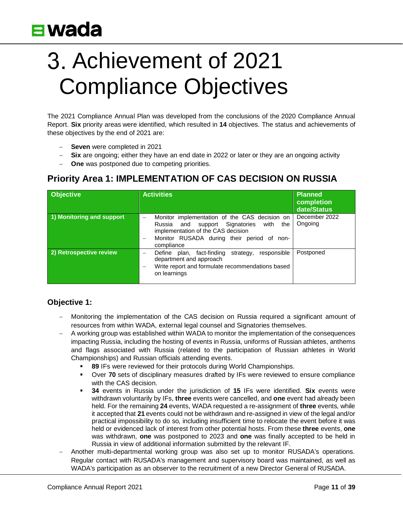# <span id="page-10-0"></span>Achievement of 2021 Compliance Objectives

The 2021 Compliance Annual Plan was developed from the conclusions of the 2020 Compliance Annual Report. **Six** priority areas were identified, which resulted in **14** objectives. The status and achievements of these objectives by the end of 2021 are:

- − **Seven** were completed in 2021
- **Six** are ongoing; either they have an end date in 2022 or later or they are an ongoing activity
- − **One** was postponed due to competing priorities.

#### **Priority Area 1: IMPLEMENTATION OF CAS DECISION ON RUSSIA**

| <b>Objective</b>          | <b>Activities</b>                                                                                                                                                                                   | Planned<br>completion<br>date/Status |
|---------------------------|-----------------------------------------------------------------------------------------------------------------------------------------------------------------------------------------------------|--------------------------------------|
| 1) Monitoring and support | Monitor implementation of the CAS decision on<br>and support Signatories<br>Russia<br>with<br>the<br>implementation of the CAS decision<br>Monitor RUSADA during their period of non-<br>compliance | December 2022<br>Ongoing             |
| 2) Retrospective review   | responsible<br>Define plan, fact-finding<br>strategy,<br>department and approach<br>Write report and formulate recommendations based<br>on learnings                                                | Postponed                            |

#### **Objective 1:**

- − Monitoring the implementation of the CAS decision on Russia required a significant amount of resources from within WADA, external legal counsel and Signatories themselves.
- − A working group was established within WADA to monitor the implementation of the consequences impacting Russia, including the hosting of events in Russia, uniforms of Russian athletes, anthems and flags associated with Russia (related to the participation of Russian athletes in World Championships) and Russian officials attending events.
	- **89** IFs were reviewed for their protocols during World Championships.
	- Over **70** sets of disciplinary measures drafted by IFs were reviewed to ensure compliance with the CAS decision.
	- **34** events in Russia under the jurisdiction of **15** IFs were identified. **Six** events were withdrawn voluntarily by IFs, **three** events were cancelled, and **one** event had already been held. For the remaining **24** events, WADA requested a re-assignment of **three** events, while it accepted that **21** events could not be withdrawn and re-assigned in view of the legal and/or practical impossibility to do so, including insufficient time to relocate the event before it was held or evidenced lack of interest from other potential hosts. From these **three** events, **one** was withdrawn, **one** was postponed to 2023 and **one** was finally accepted to be held in Russia in view of additional information submitted by the relevant IF.
- − Another multi-departmental working group was also set up to monitor RUSADA's operations. Regular contact with RUSADA's management and supervisory board was maintained, as well as WADA's participation as an observer to the recruitment of a new Director General of RUSADA.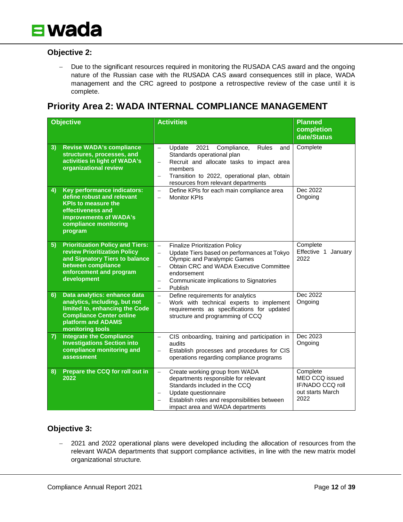

#### **Objective 2:**

− Due to the significant resources required in monitoring the RUSADA CAS award and the ongoing nature of the Russian case with the RUSADA CAS award consequences still in place, WADA management and the CRC agreed to postpone a retrospective review of the case until it is complete.

#### **Priority Area 2: WADA INTERNAL COMPLIANCE MANAGEMENT**

|    | <b>Objective</b>                                                                                                                                                             | <b>Activities</b>                                                                                                                                                                                                                                                                                                                                  | <b>Planned</b><br>completion<br>date/Status                                |
|----|------------------------------------------------------------------------------------------------------------------------------------------------------------------------------|----------------------------------------------------------------------------------------------------------------------------------------------------------------------------------------------------------------------------------------------------------------------------------------------------------------------------------------------------|----------------------------------------------------------------------------|
| 3) | <b>Revise WADA's compliance</b><br>structures, processes, and<br>activities in light of WADA's<br>organizational review                                                      | Update<br>2021<br>Compliance,<br>Rules<br>and<br>$\equiv$<br>Standards operational plan<br>Recruit and allocate tasks to impact area<br>$\overline{\phantom{0}}$<br>members<br>Transition to 2022, operational plan, obtain<br>$\overline{\phantom{0}}$<br>resources from relevant departments                                                     | Complete                                                                   |
| 4) | Key performance indicators:<br>define robust and relevant<br><b>KPIs to measure the</b><br>effectiveness and<br>improvements of WADA's<br>compliance monitoring<br>program   | Define KPIs for each main compliance area<br>$\equiv$<br><b>Monitor KPIs</b><br>$\overline{\phantom{0}}$                                                                                                                                                                                                                                           | Dec 2022<br>Ongoing                                                        |
| 5) | <b>Prioritization Policy and Tiers:</b><br>review Prioritization Policy<br>and Signatory Tiers to balance<br>between compliance<br>enforcement and program<br>development    | <b>Finalize Prioritization Policy</b><br>$\equiv$<br>Update Tiers based on performances at Tokyo<br>$\overline{\phantom{0}}$<br>Olympic and Paralympic Games<br>Obtain CRC and WADA Executive Committee<br>$\qquad \qquad -$<br>endorsement<br>Communicate implications to Signatories<br>$\overline{\phantom{0}}$<br>Publish<br>$\qquad \qquad -$ | Complete<br>Effective 1 January<br>2022                                    |
| 6) | Data analytics: enhance data<br>analytics, including, but not<br>limited to, enhancing the Code<br><b>Compliance Center online</b><br>platform and ADAMS<br>monitoring tools | Define requirements for analytics<br>$\qquad \qquad -$<br>Work with technical experts to implement<br>$\overline{\phantom{0}}$<br>requirements as specifications for updated<br>structure and programming of CCQ                                                                                                                                   | Dec 2022<br>Ongoing                                                        |
| 7) | <b>Integrate the Compliance</b><br><b>Investigations Section into</b><br>compliance monitoring and<br>assessment                                                             | CIS onboarding, training and participation in<br>$\equiv$<br>audits<br>Establish processes and procedures for CIS<br>$\overline{\phantom{0}}$<br>operations regarding compliance programs                                                                                                                                                          | Dec 2023<br>Ongoing                                                        |
| 8) | Prepare the CCQ for roll out in<br>2022                                                                                                                                      | Create working group from WADA<br>$\equiv$<br>departments responsible for relevant<br>Standards included in the CCQ<br>Update questionnaire<br>$\overline{\phantom{0}}$<br>Establish roles and responsibilities between<br>$\overline{\phantom{0}}$<br>impact area and WADA departments                                                            | Complete<br>MEO CCQ issued<br>IF/NADO CCQ roll<br>out starts March<br>2022 |

#### **Objective 3:**

− 2021 and 2022 operational plans were developed including the allocation of resources from the relevant WADA departments that support compliance activities, in line with the new matrix model organizational structure.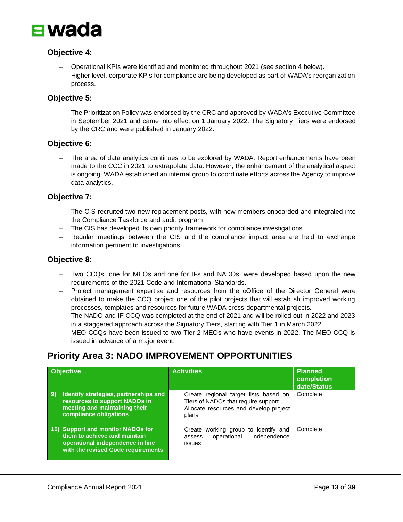

#### **Objective 4:**

- − Operational KPIs were identified and monitored throughout 2021 (see section 4 below).
- − Higher level, corporate KPIs for compliance are being developed as part of WADA's reorganization process.

#### **Objective 5:**

The Prioritization Policy was endorsed by the CRC and approved by WADA's Executive Committee in September 2021 and came into effect on 1 January 2022. The Signatory Tiers were endorsed by the CRC and were published in January 2022.

#### **Objective 6:**

The area of data analytics continues to be explored by WADA. Report enhancements have been made to the CCC in 2021 to extrapolate data. However, the enhancement of the analytical aspect is ongoing. WADA established an internal group to coordinate efforts across the Agency to improve data analytics.

#### **Objective 7:**

- − The CIS recruited two new replacement posts, with new members onboarded and integrated into the Compliance Taskforce and audit program.
- − The CIS has developed its own priority framework for compliance investigations.
- − Regular meetings between the CIS and the compliance impact area are held to exchange information pertinent to investigations.

#### **Objective 8**:

- Two CCQs, one for MEOs and one for IFs and NADOs, were developed based upon the new requirements of the 2021 Code and International Standards.
- Project management expertise and resources from the oOffice of the Director General were obtained to make the CCQ project one of the pilot projects that will establish improved working processes, templates and resources for future WADA cross-departmental projects.
- − The NADO and IF CCQ was completed at the end of 2021 and will be rolled out in 2022 and 2023 in a staggered approach across the Signatory Tiers, starting with Tier 1 in March 2022.
- MEO CCQs have been issued to two Tier 2 MEOs who have events in 2022. The MEO CCQ is issued in advance of a major event.

#### **Priority Area 3: NADO IMPROVEMENT OPPORTUNITIES**

| <b>Objective</b>                                                                                                                               | <b>Activities</b>                                                                                                                                                | <b>Planned</b><br>completion<br>date/Status |
|------------------------------------------------------------------------------------------------------------------------------------------------|------------------------------------------------------------------------------------------------------------------------------------------------------------------|---------------------------------------------|
| Identify strategies, partnerships and<br><b>9)</b><br>resources to support NADOs in<br>meeting and maintaining their<br>compliance obligations | Create regional target lists based on<br>$\overline{\phantom{0}}$<br>Tiers of NADOs that require support<br>Allocate resources and develop project<br>-<br>plans | Complete                                    |
| 10) Support and monitor NADOs for<br>them to achieve and maintain<br>operational independence in line<br>with the revised Code requirements    | to identify and<br>working group<br>Create<br>operational<br>independence<br>assess<br>issues                                                                    | Complete                                    |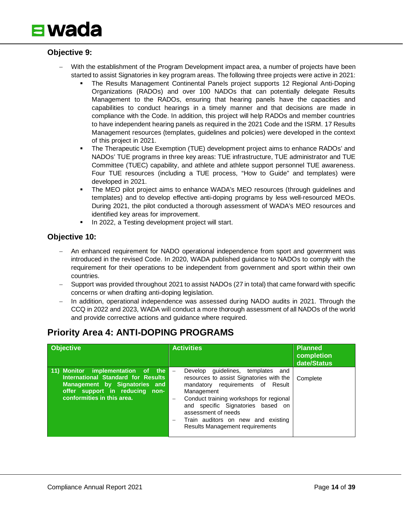

#### **Objective 9:**

- With the establishment of the Program Development impact area, a number of projects have been started to assist Signatories in key program areas. The following three projects were active in 2021:
	- The Results Management Continental Panels project supports 12 Regional Anti-Doping Organizations (RADOs) and over 100 NADOs that can potentially delegate Results Management to the RADOs, ensuring that hearing panels have the capacities and capabilities to conduct hearings in a timely manner and that decisions are made in compliance with the Code. In addition, this project will help RADOs and member countries to have independent hearing panels as required in the 2021 Code and the ISRM. 17 Results Management resources (templates, guidelines and policies) were developed in the context of this project in 2021.
	- The Therapeutic Use Exemption (TUE) development project aims to enhance RADOs' and NADOs' TUE programs in three key areas: TUE infrastructure, TUE administrator and TUE Committee (TUEC) capability, and athlete and athlete support personnel TUE awareness. Four TUE resources (including a TUE process, "How to Guide" and templates) were developed in 2021.
	- The MEO pilot project aims to enhance WADA's MEO resources (through guidelines and templates) and to develop effective anti-doping programs by less well-resourced MEOs. During 2021, the pilot conducted a thorough assessment of WADA's MEO resources and identified key areas for improvement.
	- In 2022, a Testing development project will start.

#### **Objective 10:**

- − An enhanced requirement for NADO operational independence from sport and government was introduced in the revised Code. In 2020, WADA published guidance to NADOs to comply with the requirement for their operations to be independent from government and sport within their own countries.
- Support was provided throughout 2021 to assist NADOs (27 in total) that came forward with specific concerns or when drafting anti-doping legislation.
- In addition, operational independence was assessed during NADO audits in 2021. Through the CCQ in 2022 and 2023, WADA will conduct a more thorough assessment of all NADOs of the world and provide corrective actions and guidance where required.

#### **Priority Area 4: ANTI-DOPING PROGRAMS**

| <b>Objective</b>                                                                                                                                                         | <b>Activities</b>                                                                                                                                                                                                                                                                                                     | <b>Planned</b><br>completion<br>date/Status |
|--------------------------------------------------------------------------------------------------------------------------------------------------------------------------|-----------------------------------------------------------------------------------------------------------------------------------------------------------------------------------------------------------------------------------------------------------------------------------------------------------------------|---------------------------------------------|
| 11) Monitor implementation of the<br>International Standard for Results<br>Management by Signatories and<br>offer support in reducing non-<br>conformities in this area. | Develop<br>quidelines, templates<br>and<br>resources to assist Signatories with the<br>mandatory requirements of Result<br>Management<br>Conduct training workshops for regional<br>and specific Signatories based on<br>assessment of needs<br>Train auditors on new and existing<br>Results Management requirements | Complete                                    |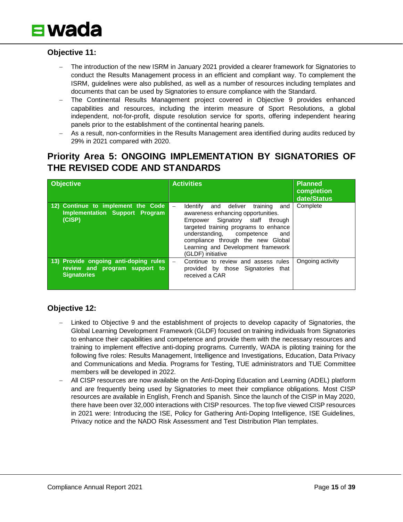

#### **Objective 11:**

- The introduction of the new ISRM in January 2021 provided a clearer framework for Signatories to conduct the Results Management process in an efficient and compliant way. To complement the ISRM, guidelines were also published, as well as a number of resources including templates and documents that can be used by Signatories to ensure compliance with the Standard.
- The Continental Results Management project covered in Objective 9 provides enhanced capabilities and resources, including the interim measure of Sport Resolutions, a global independent, not-for-profit, dispute resolution service for sports, offering independent hearing panels prior to the establishment of the continental hearing panels.
- As a result, non-conformities in the Results Management area identified during audits reduced by 29% in 2021 compared with 2020.

#### **Priority Area 5: ONGOING IMPLEMENTATION BY SIGNATORIES OF THE REVISED CODE AND STANDARDS**

| <b>Objective</b>                                                                             | <b>Activities</b>                                                                                                                                                                                                                                                                             | <b>Planned</b><br>completion<br>date/Status |
|----------------------------------------------------------------------------------------------|-----------------------------------------------------------------------------------------------------------------------------------------------------------------------------------------------------------------------------------------------------------------------------------------------|---------------------------------------------|
| 12) Continue to implement the Code<br><b>Implementation Support Program</b><br>(CISP)        | Identify and deliver<br>training<br>and<br>awareness enhancing opportunities.<br>Empower Signatory staff through<br>targeted training programs to enhance<br>understanding, competence<br>and<br>compliance through the new Global<br>Learning and Development framework<br>(GLDF) initiative | Complete                                    |
| 13) Provide ongoing anti-doping rules<br>review and program support to<br><b>Signatories</b> | Continue to review and assess rules<br>$\overline{\phantom{a}}$<br>provided by those Signatories that<br>received a CAR                                                                                                                                                                       | Ongoing activity                            |

#### **Objective 12:**

- Linked to Objective 9 and the establishment of projects to develop capacity of Signatories, the Global Learning Development Framework (GLDF) focused on training individuals from Signatories to enhance their capabilities and competence and provide them with the necessary resources and training to implement effective anti-doping programs. Currently, WADA is piloting training for the following five roles: Results Management, Intelligence and Investigations, Education, Data Privacy and Communications and Media. Programs for Testing, TUE administrators and TUE Committee members will be developed in 2022.
- All CISP resources are now available on the Anti-Doping Education and Learning (ADEL) platform and are frequently being used by Signatories to meet their compliance obligations. Most CISP resources are available in English, French and Spanish. Since the launch of the CISP in May 2020, there have been over 32,000 interactions with CISP resources. The top five viewed CISP resources in 2021 were: Introducing the ISE, Policy for Gathering Anti-Doping Intelligence, ISE Guidelines, Privacy notice and the NADO Risk Assessment and Test Distribution Plan templates.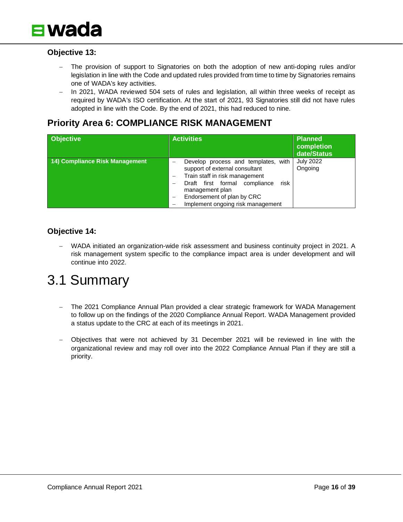

#### **Objective 13:**

- The provision of support to Signatories on both the adoption of new anti-doping rules and/or legislation in line with the Code and updated rules provided from time to time by Signatories remains one of WADA's key activities.
- In 2021, WADA reviewed 504 sets of rules and legislation, all within three weeks of receipt as required by WADA's ISO certification. At the start of 2021, 93 Signatories still did not have rules adopted in line with the Code. By the end of 2021, this had reduced to nine.

#### **Priority Area 6: COMPLIANCE RISK MANAGEMENT**

| <b>Objective</b>               | <b>Activities</b>                                                                                                                                                                                                                                                  | Planned<br>completion<br>date/Status |
|--------------------------------|--------------------------------------------------------------------------------------------------------------------------------------------------------------------------------------------------------------------------------------------------------------------|--------------------------------------|
| 14) Compliance Risk Management | Develop process and templates, with<br>support of external consultant<br>Train staff in risk management<br>Draft first formal compliance<br>risk<br>management plan<br>Endorsement of plan by CRC<br>$\overline{\phantom{m}}$<br>Implement ongoing risk management | <b>July 2022</b><br>Ongoing          |

#### **Objective 14:**

− WADA initiated an organization-wide risk assessment and business continuity project in 2021. A risk management system specific to the compliance impact area is under development and will continue into 2022.

### <span id="page-15-0"></span>3.1 Summary

- − The 2021 Compliance Annual Plan provided a clear strategic framework for WADA Management to follow up on the findings of the 2020 Compliance Annual Report. WADA Management provided a status update to the CRC at each of its meetings in 2021.
- − Objectives that were not achieved by 31 December 2021 will be reviewed in line with the organizational review and may roll over into the 2022 Compliance Annual Plan if they are still a priority.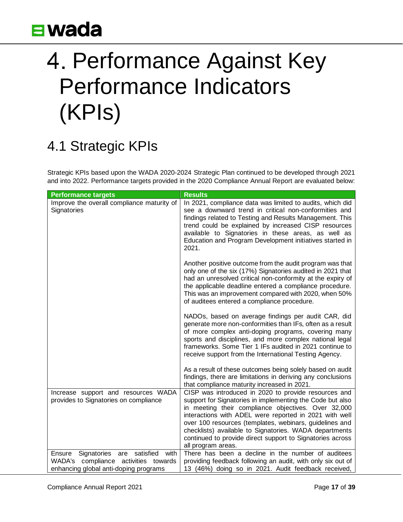# <span id="page-16-0"></span>4. Performance Against Key Performance Indicators (KPIs)

### <span id="page-16-1"></span>4.1 Strategic KPIs

Strategic KPIs based upon the WADA 2020-2024 Strategic Plan continued to be developed through 2021 and into 2022. Performance targets provided in the 2020 Compliance Annual Report are evaluated below:

| <b>Performance targets</b>                                                       | <b>Results</b>                                                                                                                                                                                                                                                                                                                                                     |
|----------------------------------------------------------------------------------|--------------------------------------------------------------------------------------------------------------------------------------------------------------------------------------------------------------------------------------------------------------------------------------------------------------------------------------------------------------------|
| Improve the overall compliance maturity of<br>Signatories                        | In 2021, compliance data was limited to audits, which did<br>see a downward trend in critical non-conformities and<br>findings related to Testing and Results Management. This<br>trend could be explained by increased CISP resources<br>available to Signatories in these areas, as well as<br>Education and Program Development initiatives started in<br>2021. |
|                                                                                  | Another positive outcome from the audit program was that<br>only one of the six (17%) Signatories audited in 2021 that<br>had an unresolved critical non-conformity at the expiry of<br>the applicable deadline entered a compliance procedure.<br>This was an improvement compared with 2020, when 50%<br>of auditees entered a compliance procedure.             |
|                                                                                  | NADOs, based on average findings per audit CAR, did<br>generate more non-conformities than IFs, often as a result<br>of more complex anti-doping programs, covering many<br>sports and disciplines, and more complex national legal<br>frameworks. Some Tier 1 IFs audited in 2021 continue to<br>receive support from the International Testing Agency.           |
|                                                                                  | As a result of these outcomes being solely based on audit<br>findings, there are limitations in deriving any conclusions<br>that compliance maturity increased in 2021.                                                                                                                                                                                            |
| Increase support and resources WADA<br>provides to Signatories on compliance     | CISP was introduced in 2020 to provide resources and<br>support for Signatories in implementing the Code but also<br>in meeting their compliance objectives. Over 32,000                                                                                                                                                                                           |
|                                                                                  | interactions with ADEL were reported in 2021 with well                                                                                                                                                                                                                                                                                                             |
|                                                                                  | over 100 resources (templates, webinars, guidelines and<br>checklists) available to Signatories. WADA departments<br>continued to provide direct support to Signatories across<br>all program areas.                                                                                                                                                               |
| satisfied<br>with<br>Ensure<br>Signatories<br>are                                | There has been a decline in the number of auditees                                                                                                                                                                                                                                                                                                                 |
| compliance activities towards<br>WADA's<br>enhancing global anti-doping programs | providing feedback following an audit, with only six out of<br>13 (46%) doing so in 2021. Audit feedback received,                                                                                                                                                                                                                                                 |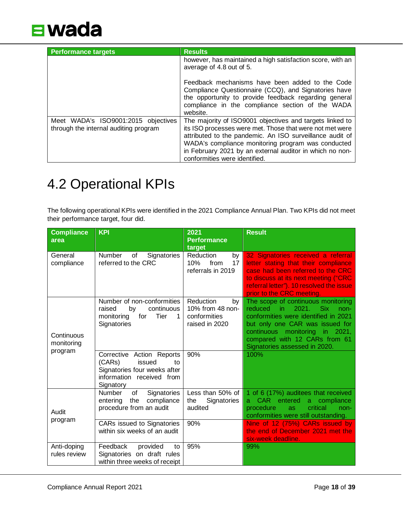

| <b>Performance targets</b>                                                   | <b>Results</b>                                                                                                                                                                                                                                                                                                                      |
|------------------------------------------------------------------------------|-------------------------------------------------------------------------------------------------------------------------------------------------------------------------------------------------------------------------------------------------------------------------------------------------------------------------------------|
|                                                                              | however, has maintained a high satisfaction score, with an<br>average of 4.8 out of 5.                                                                                                                                                                                                                                              |
|                                                                              | Feedback mechanisms have been added to the Code<br>Compliance Questionnaire (CCQ), and Signatories have<br>the opportunity to provide feedback regarding general<br>compliance in the compliance section of the WADA<br>website.                                                                                                    |
| Meet WADA's ISO9001:2015 objectives<br>through the internal auditing program | The majority of ISO9001 objectives and targets linked to<br>its ISO processes were met. Those that were not met were<br>attributed to the pandemic. An ISO surveillance audit of<br>WADA's compliance monitoring program was conducted<br>in February 2021 by an external auditor in which no non-<br>conformities were identified. |

### <span id="page-17-0"></span>4.2 Operational KPIs

The following operational KPIs were identified in the 2021 Compliance Annual Plan. Two KPIs did not meet their performance target, four did.

| <b>Compliance</b><br>area   | <b>KPI</b>                                                                                                                    | 2021<br><b>Performance</b>                                            | <b>Result</b>                                                                                                                                                                                                                                                  |
|-----------------------------|-------------------------------------------------------------------------------------------------------------------------------|-----------------------------------------------------------------------|----------------------------------------------------------------------------------------------------------------------------------------------------------------------------------------------------------------------------------------------------------------|
| General<br>compliance       | Number<br>of<br>Signatories<br>referred to the CRC                                                                            | target<br>Reduction<br>by<br>10%<br>17<br>from<br>referrals in 2019   | 32 Signatories received a referral<br>letter stating that their compliance<br>case had been referred to the CRC<br>to discuss at its next meeting ("CRC<br>referral letter"). 10 resolved the issue<br>prior to the CRC meeting.                               |
| Continuous<br>monitoring    | Number of non-conformities<br>continuous<br>raised<br>by<br>for<br>Tier<br>monitoring<br>$\mathbf{1}$<br>Signatories          | Reduction<br>by<br>10% from 48 non-<br>conformities<br>raised in 2020 | The scope of continuous monitoring<br>2021.<br>reduced in<br><b>Six</b><br>non-<br>conformities were identified in 2021<br>but only one CAR was issued for<br>continuous monitoring in 2021,<br>compared with 12 CARs from 61<br>Signatories assessed in 2020. |
| program                     | Corrective Action Reports<br>(CARs)<br>issued<br>to<br>Signatories four weeks after<br>information received from<br>Signatory | 90%                                                                   | 100%                                                                                                                                                                                                                                                           |
| Audit                       | <b>Number</b><br>Signatories<br>of<br>entering the<br>compliance<br>procedure from an audit                                   | Less than 50% of<br>Signatories<br>the<br>audited                     | 1 of 6 (17%) auditees that received<br>a CAR entered a compliance<br>critical<br>procedure<br>non-<br>as.<br>conformities were still outstanding.                                                                                                              |
| program                     | CARs issued to Signatories<br>within six weeks of an audit                                                                    | 90%                                                                   | Nine of 12 (75%) CARs issued by<br>the end of December 2021 met the<br>six-week deadline.                                                                                                                                                                      |
| Anti-doping<br>rules review | Feedback<br>provided<br>to<br>Signatories on draft rules<br>within three weeks of receipt                                     | 95%                                                                   | 99%                                                                                                                                                                                                                                                            |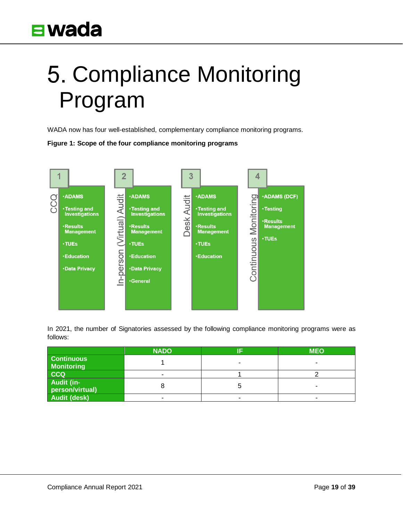# <span id="page-18-0"></span>5. Compliance Monitoring Program

WADA now has four well-established, complementary compliance monitoring programs.

#### **Figure 1: Scope of the four compliance monitoring programs**



In 2021, the number of Signatories assessed by the following compliance monitoring programs were as follows:

|                                        | <b>NADO</b> | <b>MEO</b> |
|----------------------------------------|-------------|------------|
| <b>Continuous</b><br><b>Monitoring</b> |             |            |
| <b>CCQ</b>                             |             |            |
| <b>Audit (in-</b><br>person/virtual)   |             |            |
| <b>Audit (desk)</b>                    |             |            |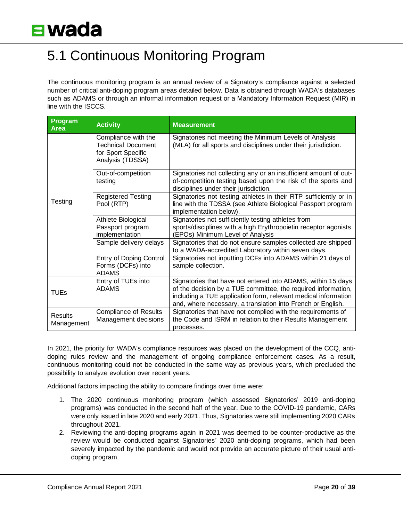### <span id="page-19-0"></span>5.1 Continuous Monitoring Program

The continuous monitoring program is an annual review of a Signatory's compliance against a selected number of critical anti-doping program areas detailed below. Data is obtained through WADA's databases such as ADAMS or through an informal information request or a Mandatory Information Request (MIR) in line with the ISCCS.

| Program<br><b>Area</b> | <b>Activity</b>                                                                            | <b>Measurement</b>                                                                                                                                                                                                                                             |  |
|------------------------|--------------------------------------------------------------------------------------------|----------------------------------------------------------------------------------------------------------------------------------------------------------------------------------------------------------------------------------------------------------------|--|
| Testing                | Compliance with the<br><b>Technical Document</b><br>for Sport Specific<br>Analysis (TDSSA) | Signatories not meeting the Minimum Levels of Analysis<br>(MLA) for all sports and disciplines under their jurisdiction.                                                                                                                                       |  |
|                        | Out-of-competition<br>testing                                                              | Signatories not collecting any or an insufficient amount of out-<br>of-competition testing based upon the risk of the sports and<br>disciplines under their jurisdiction.                                                                                      |  |
|                        | <b>Registered Testing</b><br>Pool (RTP)                                                    | Signatories not testing athletes in their RTP sufficiently or in<br>line with the TDSSA (see Athlete Biological Passport program<br>implementation below).                                                                                                     |  |
|                        | Athlete Biological<br>Passport program<br>implementation                                   | Signatories not sufficiently testing athletes from<br>sports/disciplines with a high Erythropoietin receptor agonists<br>(EPOs) Minimum Level of Analysis                                                                                                      |  |
|                        | Sample delivery delays                                                                     | Signatories that do not ensure samples collected are shipped<br>to a WADA-accredited Laboratory within seven days.                                                                                                                                             |  |
|                        | <b>Entry of Doping Control</b><br>Forms (DCFs) into<br><b>ADAMS</b>                        | Signatories not inputting DCFs into ADAMS within 21 days of<br>sample collection.                                                                                                                                                                              |  |
| <b>TUEs</b>            | Entry of TUEs into<br><b>ADAMS</b>                                                         | Signatories that have not entered into ADAMS, within 15 days<br>of the decision by a TUE committee, the required information,<br>including a TUE application form, relevant medical information<br>and, where necessary, a translation into French or English. |  |
| Results<br>Management  | <b>Compliance of Results</b><br>Management decisions                                       | Signatories that have not complied with the requirements of<br>the Code and ISRM in relation to their Results Management<br>processes.                                                                                                                         |  |

In 2021, the priority for WADA's compliance resources was placed on the development of the CCQ, antidoping rules review and the management of ongoing compliance enforcement cases. As a result, continuous monitoring could not be conducted in the same way as previous years, which precluded the possibility to analyze evolution over recent years.

Additional factors impacting the ability to compare findings over time were:

- 1. The 2020 continuous monitoring program (which assessed Signatories' 2019 anti-doping programs) was conducted in the second half of the year. Due to the COVID-19 pandemic, CARs were only issued in late 2020 and early 2021. Thus, Signatories were still implementing 2020 CARs throughout 2021.
- 2. Reviewing the anti-doping programs again in 2021 was deemed to be counter-productive as the review would be conducted against Signatories' 2020 anti-doping programs, which had been severely impacted by the pandemic and would not provide an accurate picture of their usual antidoping program.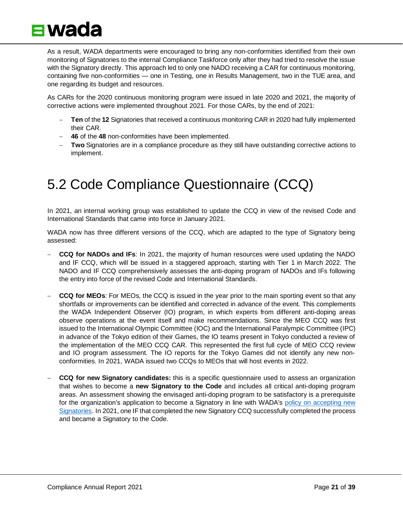

As a result, WADA departments were encouraged to bring any non-conformities identified from their own monitoring of Signatories to the internal Compliance Taskforce only after they had tried to resolve the issue with the Signatory directly. This approach led to only one NADO receiving a CAR for continuous monitoring, containing five non-conformities — one in Testing, one in Results Management, two in the TUE area, and one regarding its budget and resources.

As CARs for the 2020 continuous monitoring program were issued in late 2020 and 2021, the majority of corrective actions were implemented throughout 2021. For those CARs, by the end of 2021:

- − **Ten** of the **12** Signatories that received a continuous monitoring CAR in 2020 had fully implemented their CAR.
- − **46** of the **48** non-conformities have been implemented.
- − **Two** Signatories are in a compliance procedure as they still have outstanding corrective actions to implement.

### <span id="page-20-0"></span>5.2 Code Compliance Questionnaire (CCQ)

In 2021, an internal working group was established to update the CCQ in view of the revised Code and International Standards that came into force in January 2021.

WADA now has three different versions of the CCQ, which are adapted to the type of Signatory being assessed:

- − **CCQ for NADOs and IFs**: In 2021, the majority of human resources were used updating the NADO and IF CCQ, which will be issued in a staggered approach, starting with Tier 1 in March 2022. The NADO and IF CCQ comprehensively assesses the anti-doping program of NADOs and IFs following the entry into force of the revised Code and International Standards.
- − **CCQ for MEOs**: For MEOs, the CCQ is issued in the year prior to the main sporting event so that any shortfalls or improvements can be identified and corrected in advance of the event. This complements the WADA Independent Observer (IO) program, in which experts from different anti-doping areas observe operations at the event itself and make recommendations. Since the MEO CCQ was first issued to the International Olympic Committee (IOC) and the International Paralympic Committee (IPC) in advance of the Tokyo edition of their Games, the IO teams present in Tokyo conducted a review of the implementation of the MEO CCQ CAR. This represented the first full cycle of MEO CCQ review and IO program assessment. The IO reports for the Tokyo Games did not identify any new nonconformities. In 2021, WADA issued two CCQs to MEOs that will host events in 2022.
- − **CCQ for new Signatory candidates:** this is a specific questionnaire used to assess an organization that wishes to become a **new Signatory to the Code** and includes all critical anti-doping program areas. An assessment showing the envisaged anti-doping program to be satisfactory is a prerequisite for the organization's application to become a Signatory in line with WADA's policy on accepting new [Signatories.](https://www.wada-ama.org/en/resources/world-anti-doping-program/policy-for-acceptance-of-new-world-anti-doping-code-signatories) In 2021, one IF that completed the new Signatory CCQ successfully completed the process and became a Signatory to the Code.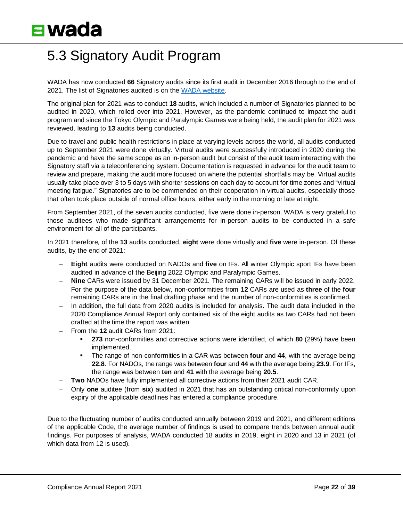### <span id="page-21-0"></span>5.3 Signatory Audit Program

WADA has now conducted **66** Signatory audits since its first audit in December 2016 through to the end of 2021. The list of Signatories audited is on the [WADA website.](https://www.wada-ama.org/en/audits)

The original plan for 2021 was to conduct **18** audits, which included a number of Signatories planned to be audited in 2020, which rolled over into 2021. However, as the pandemic continued to impact the audit program and since the Tokyo Olympic and Paralympic Games were being held, the audit plan for 2021 was reviewed, leading to **13** audits being conducted.

Due to travel and public health restrictions in place at varying levels across the world, all audits conducted up to September 2021 were done virtually. Virtual audits were successfully introduced in 2020 during the pandemic and have the same scope as an in-person audit but consist of the audit team interacting with the Signatory staff via a teleconferencing system. Documentation is requested in advance for the audit team to review and prepare, making the audit more focused on where the potential shortfalls may be. Virtual audits usually take place over 3 to 5 days with shorter sessions on each day to account for time zones and "virtual meeting fatigue." Signatories are to be commended on their cooperation in virtual audits, especially those that often took place outside of normal office hours, either early in the morning or late at night.

From September 2021, of the seven audits conducted, five were done in-person. WADA is very grateful to those auditees who made significant arrangements for in-person audits to be conducted in a safe environment for all of the participants.

In 2021 therefore, of the **13** audits conducted, **eight** were done virtually and **five** were in-person. Of these audits, by the end of 2021:

- − **Eight** audits were conducted on NADOs and **five** on IFs. All winter Olympic sport IFs have been audited in advance of the Beijing 2022 Olympic and Paralympic Games.
- − **Nine** CARs were issued by 31 December 2021. The remaining CARs will be issued in early 2022. For the purpose of the data below, non-conformities from **12** CARs are used as **three** of the **four**  remaining CARs are in the final drafting phase and the number of non-conformities is confirmed.
- − In addition, the full data from 2020 audits is included for analysis. The audit data included in the 2020 Compliance Annual Report only contained six of the eight audits as two CARs had not been drafted at the time the report was written.
- − From the **12** audit CARs from 2021:
	- **273** non-conformities and corrective actions were identified, of which **80** (29%) have been implemented.
	- The range of non-conformities in a CAR was between **four** and **44**, with the average being **22.8**. For NADOs, the range was between **four** and **44** with the average being **23.9**. For IFs, the range was between **ten** and **41** with the average being **20.5**.
- − **Two** NADOs have fully implemented all corrective actions from their 2021 audit CAR.
- − Only **one** auditee (from **six**) audited in 2021 that has an outstanding critical non-conformity upon expiry of the applicable deadlines has entered a compliance procedure.

Due to the fluctuating number of audits conducted annually between 2019 and 2021, and different editions of the applicable Code, the average number of findings is used to compare trends between annual audit findings. For purposes of analysis, WADA conducted 18 audits in 2019, eight in 2020 and 13 in 2021 (of which data from 12 is used).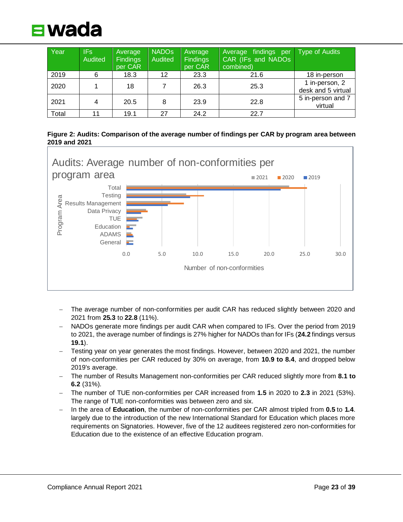

| Year  | IFs:<br><b>Audited</b> | Average<br><b>Findings</b><br>per CAR | <b>NADOS</b><br>Audited | Average<br><b>Findings</b><br>per CAR | Average findings per<br>CAR (IFs and NADOs)<br>combined) | Type of Audits                       |
|-------|------------------------|---------------------------------------|-------------------------|---------------------------------------|----------------------------------------------------------|--------------------------------------|
| 2019  | 6                      | 18.3                                  | 12                      | 23.3                                  | 21.6                                                     | 18 in-person                         |
| 2020  |                        | 18                                    |                         | 26.3                                  | 25.3                                                     | 1 in-person, 2<br>desk and 5 virtual |
| 2021  | 4                      | 20.5                                  | 8                       | 23.9                                  | 22.8                                                     | 5 in-person and 7<br>virtual         |
| Total |                        | 19.1                                  | 27                      | 24.2                                  | 22.7                                                     |                                      |





- − The average number of non-conformities per audit CAR has reduced slightly between 2020 and 2021 from **25.3** to **22.8** (11%).
- − NADOs generate more findings per audit CAR when compared to IFs. Over the period from 2019 to 2021, the average number of findings is 27% higher for NADOs than for IFs (**24.2** findings versus **19.1**).
- − Testing year on year generates the most findings. However, between 2020 and 2021, the number of non-conformities per CAR reduced by 30% on average, from **10.9 to 8.4**, and dropped below 2019's average.
- − The number of Results Management non-conformities per CAR reduced slightly more from **8.1 to 6.2** (31%).
- − The number of TUE non-conformities per CAR increased from **1.5** in 2020 to **2.3** in 2021 (53%). The range of TUE non-conformities was between zero and six.
- − In the area of **Education**, the number of non-conformities per CAR almost tripled from **0.5** to **1.4**. largely due to the introduction of the new International Standard for Education which places more requirements on Signatories. However, five of the 12 auditees registered zero non-conformities for Education due to the existence of an effective Education program.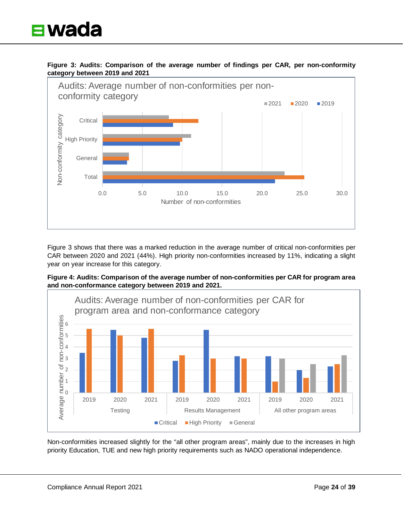

**Figure 3: Audits: Comparison of the average number of findings per CAR, per non-conformity category between 2019 and 2021**



Figure 3 shows that there was a marked reduction in the average number of critical non-conformities per CAR between 2020 and 2021 (44%). High priority non-conformities increased by 11%, indicating a slight year on year increase for this category.





Non-conformities increased slightly for the "all other program areas", mainly due to the increases in high priority Education, TUE and new high priority requirements such as NADO operational independence.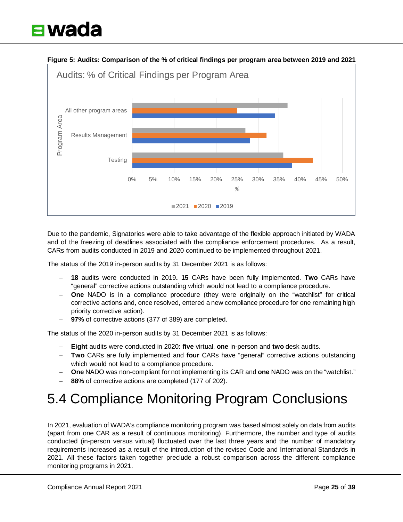

Due to the pandemic, Signatories were able to take advantage of the flexible approach initiated by WADA and of the freezing of deadlines associated with the compliance enforcement procedures. As a result, CARs from audits conducted in 2019 and 2020 continued to be implemented throughout 2021.

The status of the 2019 in-person audits by 31 December 2021 is as follows:

- − **18** audits were conducted in 2019**. 15** CARs have been fully implemented. **Two** CARs have "general" corrective actions outstanding which would not lead to a compliance procedure.
- − **One** NADO is in a compliance procedure (they were originally on the "watchlist" for critical corrective actions and, once resolved, entered a new compliance procedure for one remaining high priority corrective action).
- 97% of corrective actions (377 of 389) are completed.

The status of the 2020 in-person audits by 31 December 2021 is as follows:

- − **Eight** audits were conducted in 2020: **five** virtual, **one** in-person and **two** desk audits.
- − **Two** CARs are fully implemented and **four** CARs have "general" corrective actions outstanding which would not lead to a compliance procedure.
- − **One** NADO was non-compliant for not implementing its CAR and **one** NADO was on the "watchlist."
- 88% of corrective actions are completed (177 of 202).

### <span id="page-24-0"></span>5.4 Compliance Monitoring Program Conclusions

In 2021, evaluation of WADA's compliance monitoring program was based almost solely on data from audits (apart from one CAR as a result of continuous monitoring). Furthermore, the number and type of audits conducted (in-person versus virtual) fluctuated over the last three years and the number of mandatory requirements increased as a result of the introduction of the revised Code and International Standards in 2021. All these factors taken together preclude a robust comparison across the different compliance monitoring programs in 2021.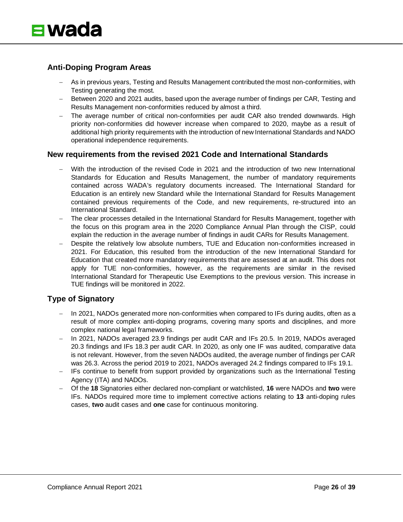

#### **Anti-Doping Program Areas**

- As in previous years, Testing and Results Management contributed the most non-conformities, with Testing generating the most.
- − Between 2020 and 2021 audits, based upon the average number of findings per CAR, Testing and Results Management non-conformities reduced by almost a third.
- − The average number of critical non-conformities per audit CAR also trended downwards. High priority non-conformities did however increase when compared to 2020, maybe as a result of additional high priority requirements with the introduction of new International Standards and NADO operational independence requirements.

#### **New requirements from the revised 2021 Code and International Standards**

- With the introduction of the revised Code in 2021 and the introduction of two new International Standards for Education and Results Management, the number of mandatory requirements contained across WADA's regulatory documents increased. The International Standard for Education is an entirely new Standard while the International Standard for Results Management contained previous requirements of the Code, and new requirements, re-structured into an International Standard.
- The clear processes detailed in the International Standard for Results Management, together with the focus on this program area in the 2020 Compliance Annual Plan through the CISP, could explain the reduction in the average number of findings in audit CARs for Results Management.
- Despite the relatively low absolute numbers, TUE and Education non-conformities increased in 2021. For Education, this resulted from the introduction of the new International Standard for Education that created more mandatory requirements that are assessed at an audit. This does not apply for TUE non-conformities, however, as the requirements are similar in the revised International Standard for Therapeutic Use Exemptions to the previous version. This increase in TUE findings will be monitored in 2022.

#### **Type of Signatory**

- In 2021, NADOs generated more non-conformities when compared to IFs during audits, often as a result of more complex anti-doping programs, covering many sports and disciplines, and more complex national legal frameworks.
- − In 2021, NADOs averaged 23.9 findings per audit CAR and IFs 20.5. In 2019, NADOs averaged 20.3 findings and IFs 18.3 per audit CAR. In 2020, as only one IF was audited, comparative data is not relevant. However, from the seven NADOs audited, the average number of findings per CAR was 26.3. Across the period 2019 to 2021, NADOs averaged 24.2 findings compared to IFs 19.1.
- − IFs continue to benefit from support provided by organizations such as the International Testing Agency (ITA) and NADOs.
- − Of the **18** Signatories either declared non-compliant or watchlisted, **16** were NADOs and **two** were IFs. NADOs required more time to implement corrective actions relating to **13** anti-doping rules cases, **two** audit cases and **one** case for continuous monitoring.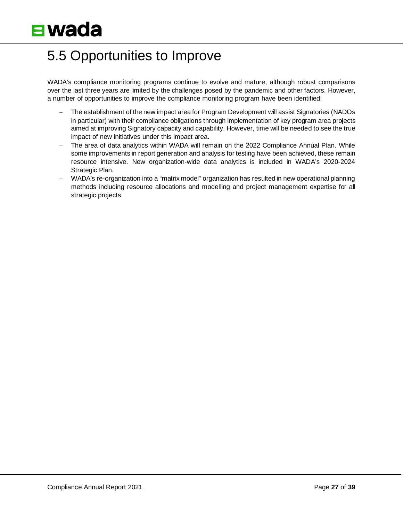### <span id="page-26-0"></span>5.5 Opportunities to Improve

WADA's compliance monitoring programs continue to evolve and mature, although robust comparisons over the last three years are limited by the challenges posed by the pandemic and other factors. However, a number of opportunities to improve the compliance monitoring program have been identified:

- The establishment of the new impact area for Program Development will assist Signatories (NADOs in particular) with their compliance obligations through implementation of key program area projects aimed at improving Signatory capacity and capability. However, time will be needed to see the true impact of new initiatives under this impact area.
- The area of data analytics within WADA will remain on the 2022 Compliance Annual Plan. While some improvements in report generation and analysis for testing have been achieved, these remain resource intensive. New organization-wide data analytics is included in WADA's 2020-2024 Strategic Plan.
- <span id="page-26-1"></span>− WADA's re-organization into a "matrix model" organization has resulted in new operational planning methods including resource allocations and modelling and project management expertise for all strategic projects.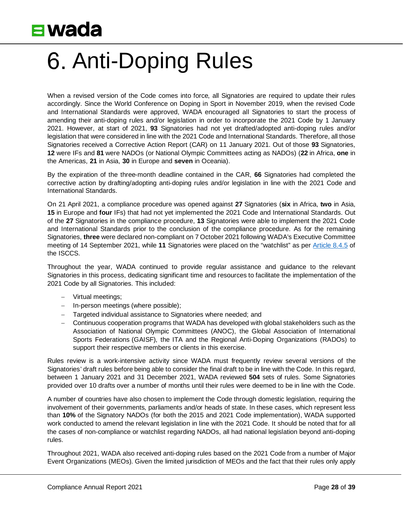

# Anti-Doping Rules

When a revised version of the Code comes into force, all Signatories are required to update their rules accordingly. Since the World Conference on Doping in Sport in November 2019, when the revised Code and International Standards were approved, WADA encouraged all Signatories to start the process of amending their anti-doping rules and/or legislation in order to incorporate the 2021 Code by 1 January 2021. However, at start of 2021, **93** Signatories had not yet drafted/adopted anti-doping rules and/or legislation that were considered in line with the 2021 Code and International Standards. Therefore, all those Signatories received a Corrective Action Report (CAR) on 11 January 2021. Out of those **93** Signatories, **12** were IFs and **81** were NADOs (or National Olympic Committees acting as NADOs) (**22** in Africa, **one** in the Americas, **21** in Asia, **30** in Europe and **seven** in Oceania).

By the expiration of the three-month deadline contained in the CAR, **66** Signatories had completed the corrective action by drafting/adopting anti-doping rules and/or legislation in line with the 2021 Code and International Standards.

On 21 April 2021, a compliance procedure was opened against **27** Signatories (**six** in Africa, **two** in Asia, **15** in Europe and **four** IFs) that had not yet implemented the 2021 Code and International Standards. Out of the **27** Signatories in the compliance procedure, **13** Signatories were able to implement the 2021 Code and International Standards prior to the conclusion of the compliance procedure. As for the remaining Signatories, **three** were declared non-compliant on 7 October 2021 following WADA's Executive Committee meeting of 14 September 2021, while **11** Signatories were placed on the "watchlist" as per [Article 8.4.5](https://www.wada-ama.org/sites/default/files/resources/files/international_standard_isccs_2021.pdf#page=38) of the ISCCS.

Throughout the year, WADA continued to provide regular assistance and guidance to the relevant Signatories in this process, dedicating significant time and resources to facilitate the implementation of the 2021 Code by all Signatories. This included:

- − Virtual meetings;
- − In-person meetings (where possible);
- − Targeted individual assistance to Signatories where needed; and
- − Continuous cooperation programs that WADA has developed with global stakeholders such as the Association of National Olympic Committees (ANOC), the Global Association of International Sports Federations (GAISF), the ITA and the Regional Anti-Doping Organizations (RADOs) to support their respective members or clients in this exercise.

Rules review is a work-intensive activity since WADA must frequently review several versions of the Signatories' draft rules before being able to consider the final draft to be in line with the Code. In this regard, between 1 January 2021 and 31 December 2021, WADA reviewed **504** sets of rules. Some Signatories provided over 10 drafts over a number of months until their rules were deemed to be in line with the Code.

A number of countries have also chosen to implement the Code through domestic legislation, requiring the involvement of their governments, parliaments and/or heads of state. In these cases, which represent less than **10%** of the Signatory NADOs (for both the 2015 and 2021 Code implementation), WADA supported work conducted to amend the relevant legislation in line with the 2021 Code. It should be noted that for all the cases of non-compliance or watchlist regarding NADOs, all had national legislation beyond anti-doping rules.

Throughout 2021, WADA also received anti-doping rules based on the 2021 Code from a number of Major Event Organizations (MEOs). Given the limited jurisdiction of MEOs and the fact that their rules only apply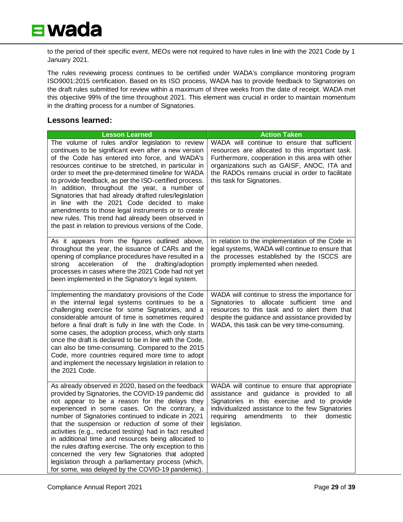

to the period of their specific event, MEOs were not required to have rules in line with the 2021 Code by 1 January 2021.

The rules reviewing process continues to be certified under WADA's compliance monitoring program ISO9001:2015 certification. Based on its ISO process, WADA has to provide feedback to Signatories on the draft rules submitted for review within a maximum of three weeks from the date of receipt. WADA met this objective 99% of the time throughout 2021. This element was crucial in order to maintain momentum in the drafting process for a number of Signatories.

#### **Lessons learned:**

| <b>Lesson Learned</b>                                                                                                                                                                                                                                                                                                                                                                                                                                                                                                                                                                                                                                             | <b>Action Taken</b>                                                                                                                                                                                                                                                                 |
|-------------------------------------------------------------------------------------------------------------------------------------------------------------------------------------------------------------------------------------------------------------------------------------------------------------------------------------------------------------------------------------------------------------------------------------------------------------------------------------------------------------------------------------------------------------------------------------------------------------------------------------------------------------------|-------------------------------------------------------------------------------------------------------------------------------------------------------------------------------------------------------------------------------------------------------------------------------------|
| The volume of rules and/or legislation to review<br>continues to be significant even after a new version<br>of the Code has entered into force, and WADA's<br>resources continue to be stretched, in particular in<br>order to meet the pre-determined timeline for WADA<br>to provide feedback, as per the ISO-certified process.<br>In addition, throughout the year, a number of<br>Signatories that had already drafted rules/legislation<br>in line with the 2021 Code decided to make<br>amendments to those legal instruments or to create<br>new rules. This trend had already been observed in<br>the past in relation to previous versions of the Code. | WADA will continue to ensure that sufficient<br>resources are allocated to this important task.<br>Furthermore, cooperation in this area with other<br>organizations such as GAISF, ANOC, ITA and<br>the RADOs remains crucial in order to facilitate<br>this task for Signatories. |
| As it appears from the figures outlined above,<br>throughout the year, the issuance of CARs and the<br>opening of compliance procedures have resulted in a<br>acceleration of the<br>drafting/adoption<br>strong<br>processes in cases where the 2021 Code had not yet<br>been implemented in the Signatory's legal system.                                                                                                                                                                                                                                                                                                                                       | In relation to the implementation of the Code in<br>legal systems, WADA will continue to ensure that<br>the processes established by the ISCCS are<br>promptly implemented when needed.                                                                                             |
| Implementing the mandatory provisions of the Code<br>in the internal legal systems continues to be a<br>challenging exercise for some Signatories, and a<br>considerable amount of time is sometimes required<br>before a final draft is fully in line with the Code. In<br>some cases, the adoption process, which only starts<br>once the draft is declared to be in line with the Code,<br>can also be time-consuming. Compared to the 2015<br>Code, more countries required more time to adopt<br>and implement the necessary legislation in relation to<br>the 2021 Code.                                                                                    | WADA will continue to stress the importance for<br>Signatories to allocate sufficient time and<br>resources to this task and to alert them that<br>despite the guidance and assistance provided by<br>WADA, this task can be very time-consuming.                                   |
| As already observed in 2020, based on the feedback<br>provided by Signatories, the COVID-19 pandemic did<br>not appear to be a reason for the delays they<br>experienced in some cases. On the contrary, a<br>number of Signatories continued to indicate in 2021<br>that the suspension or reduction of some of their<br>activities (e.g., reduced testing) had in fact resulted<br>in additional time and resources being allocated to<br>the rules drafting exercise. The only exception to this<br>concerned the very few Signatories that adopted<br>legislation through a parliamentary process (which,<br>for some, was delayed by the COVID-19 pandemic). | WADA will continue to ensure that appropriate<br>assistance and guidance is provided to all<br>Signatories in this exercise and to provide<br>individualized assistance to the few Signatories<br>requiring<br>amendments<br>their<br>domestic<br>to<br>legislation.                |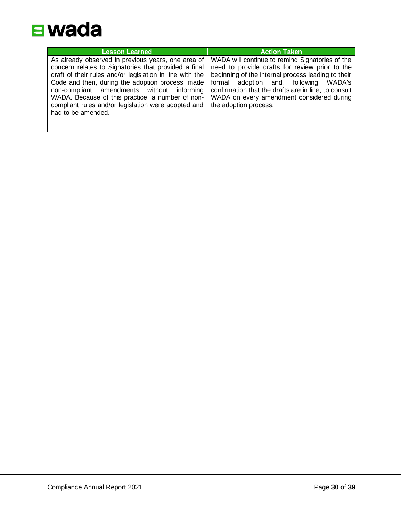

| <b>Lesson Learned</b>                                    | <b>Action Taken</b>                                  |
|----------------------------------------------------------|------------------------------------------------------|
| As already observed in previous years, one area of       | WADA will continue to remind Signatories of the      |
| concern relates to Signatories that provided a final     | need to provide drafts for review prior to the       |
| draft of their rules and/or legislation in line with the | beginning of the internal process leading to their   |
| Code and then, during the adoption process, made         | formal adoption and, following                       |
| non-compliant amendments without informing               | WADA's                                               |
| WADA. Because of this practice, a number of non-         | confirmation that the drafts are in line, to consult |
| compliant rules and/or legislation were adopted and      | WADA on every amendment considered during            |
| had to be amended.                                       | the adoption process.                                |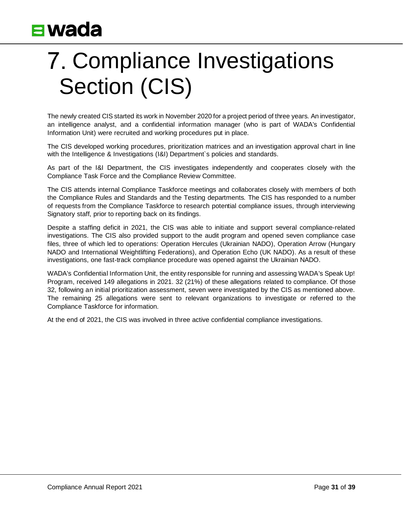# <span id="page-30-0"></span>7. Compliance Investigations Section (CIS)

The newly created CIS started its work in November 2020 for a project period of three years. An investigator, an intelligence analyst, and a confidential information manager (who is part of WADA's Confidential Information Unit) were recruited and working procedures put in place.

The CIS developed working procedures, prioritization matrices and an investigation approval chart in line with the Intelligence & Investigations (I&I) Department`s policies and standards.

As part of the I&I Department, the CIS investigates independently and cooperates closely with the Compliance Task Force and the Compliance Review Committee.

The CIS attends internal Compliance Taskforce meetings and collaborates closely with members of both the Compliance Rules and Standards and the Testing departments. The CIS has responded to a number of requests from the Compliance Taskforce to research potential compliance issues, through interviewing Signatory staff, prior to reporting back on its findings.

Despite a staffing deficit in 2021, the CIS was able to initiate and support several compliance-related investigations. The CIS also provided support to the audit program and opened seven compliance case files, three of which led to operations: Operation Hercules (Ukrainian NADO), Operation Arrow (Hungary NADO and International Weightlifting Federations), and Operation Echo (UK NADO). As a result of these investigations, one fast-track compliance procedure was opened against the Ukrainian NADO.

WADA's Confidential Information Unit, the entity responsible for running and assessing WADA's Speak Up! Program, received 149 allegations in 2021. 32 (21%) of these allegations related to compliance. Of those 32, following an initial prioritization assessment, seven were investigated by the CIS as mentioned above. The remaining 25 allegations were sent to relevant organizations to investigate or referred to the Compliance Taskforce for information.

<span id="page-30-1"></span>At the end of 2021, the CIS was involved in three active confidential compliance investigations.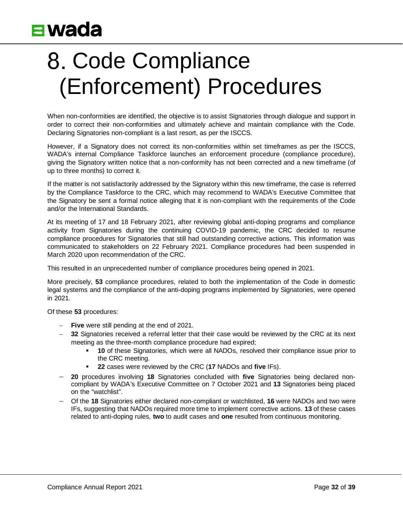# 8. Code Compliance (Enforcement) Procedures

When non-conformities are identified, the objective is to assist Signatories through dialogue and support in order to correct their non-conformities and ultimately achieve and maintain compliance with the Code. Declaring Signatories non-compliant is a last resort, as per the ISCCS.

However, if a Signatory does not correct its non-conformities within set timeframes as per the ISCCS, WADA's internal Compliance Taskforce launches an enforcement procedure (compliance procedure), giving the Signatory written notice that a non-conformity has not been corrected and a new timeframe (of up to three months) to correct it.

If the matter is not satisfactorily addressed by the Signatory within this new timeframe, the case is referred by the Compliance Taskforce to the CRC, which may recommend to WADA's Executive Committee that the Signatory be sent a formal notice alleging that it is non-compliant with the requirements of the Code and/or the International Standards.

At its meeting of 17 and 18 February 2021, after reviewing global anti-doping programs and compliance activity from Signatories during the continuing COVID-19 pandemic, the CRC decided to resume compliance procedures for Signatories that still had outstanding corrective actions. This information was communicated to stakeholders on 22 February 2021. Compliance procedures had been suspended in March 2020 upon recommendation of the CRC.

This resulted in an unprecedented number of compliance procedures being opened in 2021.

More precisely, **53** compliance procedures, related to both the implementation of the Code in domestic legal systems and the compliance of the anti-doping programs implemented by Signatories, were opened in 2021.

Of these **53** procedures:

- − **Five** were still pending at the end of 2021.
- 32 Signatories received a referral letter that their case would be reviewed by the CRC at its next meeting as the three-month compliance procedure had expired;
	- **10** of these Signatories, which were all NADOs, resolved their compliance issue prior to the CRC meeting.
	- **22** cases were reviewed by the CRC (**17** NADOs and **five** IFs).
- − **20** procedures involving **18** Signatories concluded with **five** Signatories being declared noncompliant by WADA's Executive Committee on 7 October 2021 and **13** Signatories being placed on the "watchlist".
- − Of the **18** Signatories either declared non-compliant or watchlisted, **16** were NADOs and two were IFs, suggesting that NADOs required more time to implement corrective actions. **13** of these cases related to anti-doping rules, **two** to audit cases and **one** resulted from continuous monitoring.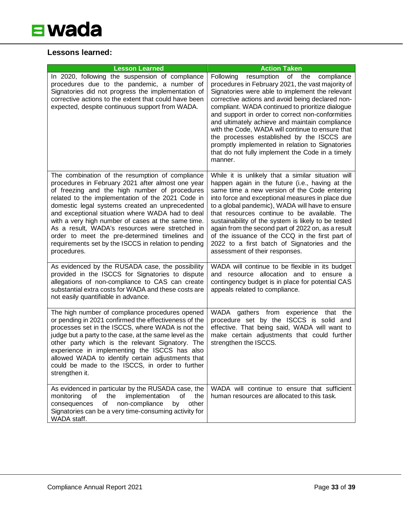#### **Lessons learned:**

| <b>Lesson Learned</b>                                                                                                                                                                                                                                                                                                                                                                                                                                                                                                                               | <b>Action Taken</b>                                                                                                                                                                                                                                                                                                                                                                                                                                                                                                                                                                    |
|-----------------------------------------------------------------------------------------------------------------------------------------------------------------------------------------------------------------------------------------------------------------------------------------------------------------------------------------------------------------------------------------------------------------------------------------------------------------------------------------------------------------------------------------------------|----------------------------------------------------------------------------------------------------------------------------------------------------------------------------------------------------------------------------------------------------------------------------------------------------------------------------------------------------------------------------------------------------------------------------------------------------------------------------------------------------------------------------------------------------------------------------------------|
| In 2020, following the suspension of compliance<br>procedures due to the pandemic, a number of<br>Signatories did not progress the implementation of<br>corrective actions to the extent that could have been<br>expected, despite continuous support from WADA.                                                                                                                                                                                                                                                                                    | resumption of the<br>Following<br>compliance<br>procedures in February 2021, the vast majority of<br>Signatories were able to implement the relevant<br>corrective actions and avoid being declared non-<br>compliant. WADA continued to prioritize dialogue<br>and support in order to correct non-conformities<br>and ultimately achieve and maintain compliance<br>with the Code, WADA will continue to ensure that<br>the processes established by the ISCCS are<br>promptly implemented in relation to Signatories<br>that do not fully implement the Code in a timely<br>manner. |
| The combination of the resumption of compliance<br>procedures in February 2021 after almost one year<br>of freezing and the high number of procedures<br>related to the implementation of the 2021 Code in<br>domestic legal systems created an unprecedented<br>and exceptional situation where WADA had to deal<br>with a very high number of cases at the same time.<br>As a result, WADA's resources were stretched in<br>order to meet the pre-determined timelines and<br>requirements set by the ISCCS in relation to pending<br>procedures. | While it is unlikely that a similar situation will<br>happen again in the future (i.e., having at the<br>same time a new version of the Code entering<br>into force and exceptional measures in place due<br>to a global pandemic), WADA will have to ensure<br>that resources continue to be available. The<br>sustainability of the system is likely to be tested<br>again from the second part of 2022 on, as a result<br>of the issuance of the CCQ in the first part of<br>2022 to a first batch of Signatories and the<br>assessment of their responses.                         |
| As evidenced by the RUSADA case, the possibility<br>provided in the ISCCS for Signatories to dispute<br>allegations of non-compliance to CAS can create<br>substantial extra costs for WADA and these costs are<br>not easily quantifiable in advance.                                                                                                                                                                                                                                                                                              | WADA will continue to be flexible in its budget<br>and resource allocation and to ensure a<br>contingency budget is in place for potential CAS<br>appeals related to compliance.                                                                                                                                                                                                                                                                                                                                                                                                       |
| The high number of compliance procedures opened<br>or pending in 2021 confirmed the effectiveness of the<br>processes set in the ISCCS, where WADA is not the<br>judge but a party to the case, at the same level as the<br>other party which is the relevant Signatory. The<br>experience in implementing the ISCCS has also<br>allowed WADA to identify certain adjustments that<br>could be made to the ISCCS, in order to further<br>strengthen it.                                                                                             | WADA gathers from experience that the<br>procedure set by the ISCCS is solid and<br>effective. That being said, WADA will want to<br>make certain adjustments that could further<br>strengthen the ISCCS.                                                                                                                                                                                                                                                                                                                                                                              |
| As evidenced in particular by the RUSADA case, the<br>the<br>implementation<br>of<br>monitoring<br>of<br>the<br>consequences<br>non-compliance<br>other<br>of<br>by<br>Signatories can be a very time-consuming activity for<br>WADA staff.                                                                                                                                                                                                                                                                                                         | WADA will continue to ensure that sufficient<br>human resources are allocated to this task.                                                                                                                                                                                                                                                                                                                                                                                                                                                                                            |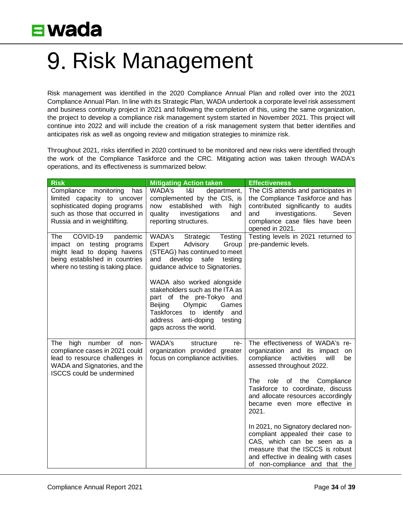# <span id="page-33-0"></span>9. Risk Management

Risk management was identified in the 2020 Compliance Annual Plan and rolled over into the 2021 Compliance Annual Plan. In line with its Strategic Plan, WADA undertook a corporate level risk assessment and business continuity project in 2021 and following the completion of this, using the same organization, the project to develop a compliance risk management system started in November 2021. This project will continue into 2022 and will include the creation of a risk management system that better identifies and anticipates risk as well as ongoing review and mitigation strategies to minimize risk.

Throughout 2021, risks identified in 2020 continued to be monitored and new risks were identified through the work of the Compliance Taskforce and the CRC. Mitigating action was taken through WADA's operations, and its effectiveness is summarized below:

| <b>Risk</b>                                                                                                                                                            | <b>Mitigating Action taken</b>                                                                                                                                                                                                                                                                                                                                                                         | <b>Effectiveness</b>                                                                                                                                                                                                                                                                                                                                                                                                                                                                                                          |
|------------------------------------------------------------------------------------------------------------------------------------------------------------------------|--------------------------------------------------------------------------------------------------------------------------------------------------------------------------------------------------------------------------------------------------------------------------------------------------------------------------------------------------------------------------------------------------------|-------------------------------------------------------------------------------------------------------------------------------------------------------------------------------------------------------------------------------------------------------------------------------------------------------------------------------------------------------------------------------------------------------------------------------------------------------------------------------------------------------------------------------|
| monitoring<br>Compliance<br>has<br>limited capacity to uncover<br>sophisticated doping programs<br>such as those that occurred in<br>Russia and in weightlifting.      | WADA's<br>ା&।<br>department,<br>complemented by the CIS, is<br>now established<br>with<br>high<br>quality<br>investigations<br>and<br>reporting structures.                                                                                                                                                                                                                                            | The CIS attends and participates in<br>the Compliance Taskforce and has<br>contributed significantly to audits<br>investigations.<br>and<br>Seven<br>compliance case files have been<br>opened in 2021.                                                                                                                                                                                                                                                                                                                       |
| COVID-19<br>The<br>pandemic<br>impact on testing programs<br>might lead to doping havens<br>being established in countries<br>where no testing is taking place.        | WADA's<br>Testing<br>Strategic<br>Expert<br>Advisory<br>Group<br>(STEAG) has continued to meet<br>develop<br>and<br>safe<br>testing<br>guidance advice to Signatories.<br>WADA also worked alongside<br>stakeholders such as the ITA as<br>part of the pre-Tokyo and<br>Beijing<br>Olympic<br>Games<br>Taskforces to<br>identify<br>and<br>address<br>anti-doping<br>testing<br>gaps across the world. | Testing levels in 2021 returned to<br>pre-pandemic levels.                                                                                                                                                                                                                                                                                                                                                                                                                                                                    |
| The<br>high<br>number of non-<br>compliance cases in 2021 could<br>lead to resource challenges in<br>WADA and Signatories, and the<br><b>ISCCS</b> could be undermined | WADA's<br>structure<br>re-<br>organization provided greater<br>focus on compliance activities.                                                                                                                                                                                                                                                                                                         | The effectiveness of WADA's re-<br>organization and its impact<br>on<br>compliance<br>activities<br>will<br>be<br>assessed throughout 2022.<br>The<br>role<br>of the<br>Compliance<br>Taskforce to coordinate, discuss<br>and allocate resources accordingly<br>became even more effective in<br>2021.<br>In 2021, no Signatory declared non-<br>compliant appealed their case to<br>CAS, which can be seen as a<br>measure that the ISCCS is robust<br>and effective in dealing with cases<br>of non-compliance and that the |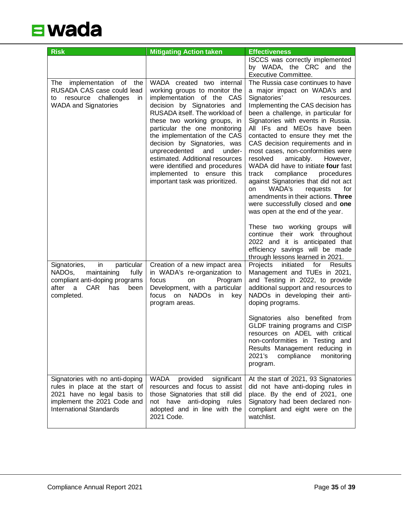

| <b>Risk</b>                                                                                                                                                       | <b>Mitigating Action taken</b>                                                                                                                                                                                                                                                                                                                                          | <b>Effectiveness</b>                                                                                                                                                                                                                                                                                                                                                                                                                                                                                                                                                                                                                                                                                         |
|-------------------------------------------------------------------------------------------------------------------------------------------------------------------|-------------------------------------------------------------------------------------------------------------------------------------------------------------------------------------------------------------------------------------------------------------------------------------------------------------------------------------------------------------------------|--------------------------------------------------------------------------------------------------------------------------------------------------------------------------------------------------------------------------------------------------------------------------------------------------------------------------------------------------------------------------------------------------------------------------------------------------------------------------------------------------------------------------------------------------------------------------------------------------------------------------------------------------------------------------------------------------------------|
| implementation of the<br>The<br>RUSADA CAS case could lead<br>to resource challenges<br>in.                                                                       | WADA created two internal<br>working groups to monitor the<br>implementation of the CAS                                                                                                                                                                                                                                                                                 | ISCCS was correctly implemented<br>by WADA, the CRC and the<br>Executive Committee.<br>The Russia case continues to have<br>a major impact on WADA's and<br>Signatories'<br>resources.                                                                                                                                                                                                                                                                                                                                                                                                                                                                                                                       |
| <b>WADA and Signatories</b>                                                                                                                                       | decision by Signatories and<br>RUSADA itself. The workload of<br>these two working groups, in<br>particular the one monitoring<br>the implementation of the CAS<br>decision by Signatories, was<br>unprecedented<br>and<br>under-<br>estimated. Additional resources<br>were identified and procedures<br>implemented to ensure this<br>important task was prioritized. | Implementing the CAS decision has<br>been a challenge, in particular for<br>Signatories with events in Russia.<br>All IFs and MEOs have been<br>contacted to ensure they met the<br>CAS decision requirements and in<br>most cases, non-conformities were<br>amicably.<br>resolved<br>However,<br>WADA did have to initiate four fast<br>track<br>compliance<br>procedures<br>against Signatories that did not act<br>WADA's<br>requests<br>for<br>on<br>amendments in their actions. Three<br>were successfully closed and one<br>was open at the end of the year.<br>These two working groups will<br>continue their work throughout<br>2022 and it is anticipated that<br>efficiency savings will be made |
| Signatories,<br>in<br>particular                                                                                                                                  | Creation of a new impact area                                                                                                                                                                                                                                                                                                                                           | through lessons learned in 2021.<br>Projects<br>initiated for Results                                                                                                                                                                                                                                                                                                                                                                                                                                                                                                                                                                                                                                        |
| NADO <sub>s</sub> ,<br>maintaining<br>fully<br>compliant anti-doping programs<br><b>CAR</b><br>after a<br>has<br>been<br>completed.                               | in WADA's re-organization to<br>focus<br>Program<br>on<br>Development, with a particular<br>focus on NADOs in<br>key<br>program areas.                                                                                                                                                                                                                                  | Management and TUEs in 2021,<br>and Testing in 2022, to provide<br>additional support and resources to<br>NADOs in developing their anti-<br>doping programs.                                                                                                                                                                                                                                                                                                                                                                                                                                                                                                                                                |
|                                                                                                                                                                   |                                                                                                                                                                                                                                                                                                                                                                         | Signatories also benefited from<br>GLDF training programs and CISP<br>resources on ADEL with critical<br>non-conformities in Testing and<br>Results Management reducing in<br>2021's<br>compliance<br>monitoring<br>program.                                                                                                                                                                                                                                                                                                                                                                                                                                                                                 |
| Signatories with no anti-doping<br>rules in place at the start of<br>2021 have no legal basis to<br>implement the 2021 Code and<br><b>International Standards</b> | <b>WADA</b><br>provided<br>significant<br>resources and focus to assist<br>those Signatories that still did<br>not have anti-doping rules<br>adopted and in line with the<br>2021 Code.                                                                                                                                                                                 | At the start of 2021, 93 Signatories<br>did not have anti-doping rules in<br>place. By the end of 2021, one<br>Signatory had been declared non-<br>compliant and eight were on the<br>watchlist.                                                                                                                                                                                                                                                                                                                                                                                                                                                                                                             |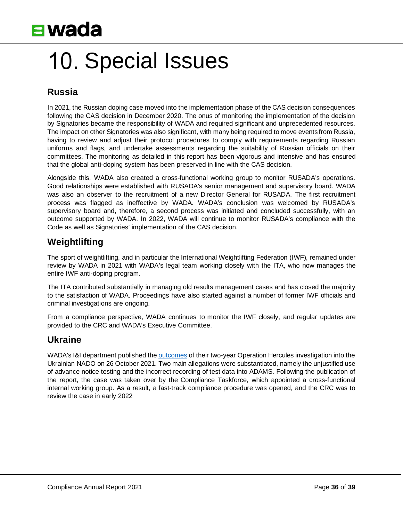

# <span id="page-35-0"></span>10. Special Issues

#### **Russia**

In 2021, the Russian doping case moved into the implementation phase of the CAS decision consequences following the CAS decision in December 2020. The onus of monitoring the implementation of the decision by Signatories became the responsibility of WADA and required significant and unprecedented resources. The impact on other Signatories was also significant, with many being required to move events from Russia, having to review and adjust their protocol procedures to comply with requirements regarding Russian uniforms and flags, and undertake assessments regarding the suitability of Russian officials on their committees. The monitoring as detailed in this report has been vigorous and intensive and has ensured that the global anti-doping system has been preserved in line with the CAS decision.

Alongside this, WADA also created a cross-functional working group to monitor RUSADA's operations. Good relationships were established with RUSADA's senior management and supervisory board. WADA was also an observer to the recruitment of a new Director General for RUSADA. The first recruitment process was flagged as ineffective by WADA. WADA's conclusion was welcomed by RUSADA's supervisory board and, therefore, a second process was initiated and concluded successfully, with an outcome supported by WADA. In 2022, WADA will continue to monitor RUSADA's compliance with the Code as well as Signatories' implementation of the CAS decision.

#### **Weightlifting**

The sport of weightlifting, and in particular the International Weightlifting Federation (IWF), remained under review by WADA in 2021 with WADA's legal team working closely with the ITA, who now manages the entire IWF anti-doping program.

The ITA contributed substantially in managing old results management cases and has closed the majority to the satisfaction of WADA. Proceedings have also started against a number of former IWF officials and criminal investigations are ongoing.

From a compliance perspective, WADA continues to monitor the IWF closely, and regular updates are provided to the CRC and WADA's Executive Committee.

#### **Ukraine**

WADA's I&I department published the [outcomes](https://www.wada-ama.org/en/media/news/2021-10/wada-issues-report-from-investigation-into-allegations-regarding-the-national) of their two-year Operation Hercules investigation into the Ukrainian NADO on 26 October 2021. Two main allegations were substantiated, namely the unjustified use of advance notice testing and the incorrect recording of test data into ADAMS. Following the publication of the report, the case was taken over by the Compliance Taskforce, which appointed a cross-functional internal working group. As a result, a fast-track compliance procedure was opened, and the CRC was to review the case in early 2022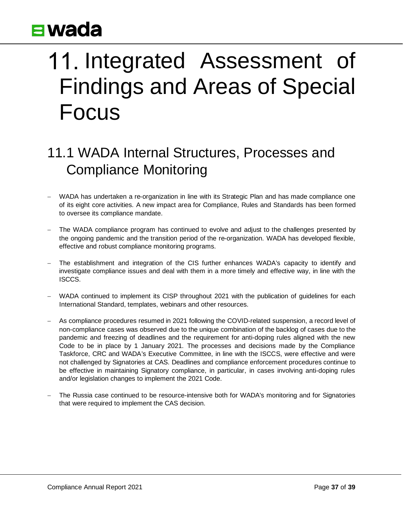# <span id="page-36-0"></span>11. Integrated Assessment of Findings and Areas of Special Focus

### <span id="page-36-1"></span>11.1 WADA Internal Structures, Processes and Compliance Monitoring

- WADA has undertaken a re-organization in line with its Strategic Plan and has made compliance one of its eight core activities. A new impact area for Compliance, Rules and Standards has been formed to oversee its compliance mandate.
- The WADA compliance program has continued to evolve and adjust to the challenges presented by the ongoing pandemic and the transition period of the re-organization. WADA has developed flexible, effective and robust compliance monitoring programs.
- The establishment and integration of the CIS further enhances WADA's capacity to identify and investigate compliance issues and deal with them in a more timely and effective way, in line with the ISCCS.
- WADA continued to implement its CISP throughout 2021 with the publication of guidelines for each International Standard, templates, webinars and other resources.
- − As compliance procedures resumed in 2021 following the COVID-related suspension, a record level of non-compliance cases was observed due to the unique combination of the backlog of cases due to the pandemic and freezing of deadlines and the requirement for anti-doping rules aligned with the new Code to be in place by 1 January 2021. The processes and decisions made by the Compliance Taskforce, CRC and WADA's Executive Committee, in line with the ISCCS, were effective and were not challenged by Signatories at CAS. Deadlines and compliance enforcement procedures continue to be effective in maintaining Signatory compliance, in particular, in cases involving anti-doping rules and/or legislation changes to implement the 2021 Code.
- The Russia case continued to be resource-intensive both for WADA's monitoring and for Signatories that were required to implement the CAS decision.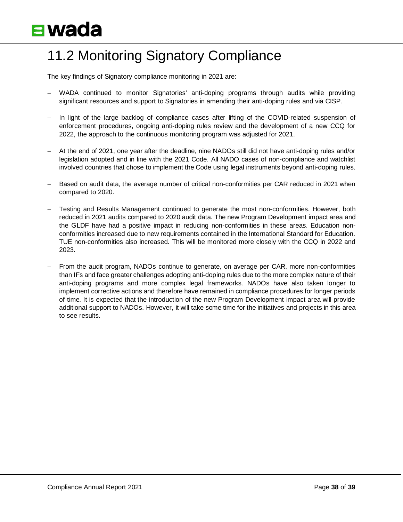### <span id="page-37-0"></span>11.2 Monitoring Signatory Compliance

The key findings of Signatory compliance monitoring in 2021 are:

- − WADA continued to monitor Signatories' anti-doping programs through audits while providing significant resources and support to Signatories in amending their anti-doping rules and via CISP.
- − In light of the large backlog of compliance cases after lifting of the COVID-related suspension of enforcement procedures, ongoing anti-doping rules review and the development of a new CCQ for 2022, the approach to the continuous monitoring program was adjusted for 2021.
- − At the end of 2021, one year after the deadline, nine NADOs still did not have anti-doping rules and/or legislation adopted and in line with the 2021 Code. All NADO cases of non-compliance and watchlist involved countries that chose to implement the Code using legal instruments beyond anti-doping rules.
- Based on audit data, the average number of critical non-conformities per CAR reduced in 2021 when compared to 2020.
- − Testing and Results Management continued to generate the most non-conformities. However, both reduced in 2021 audits compared to 2020 audit data. The new Program Development impact area and the GLDF have had a positive impact in reducing non-conformities in these areas. Education nonconformities increased due to new requirements contained in the International Standard for Education. TUE non-conformities also increased. This will be monitored more closely with the CCQ in 2022 and 2023.
- From the audit program, NADOs continue to generate, on average per CAR, more non-conformities than IFs and face greater challenges adopting anti-doping rules due to the more complex nature of their anti-doping programs and more complex legal frameworks. NADOs have also taken longer to implement corrective actions and therefore have remained in compliance procedures for longer periods of time. It is expected that the introduction of the new Program Development impact area will provide additional support to NADOs. However, it will take some time for the initiatives and projects in this area to see results.